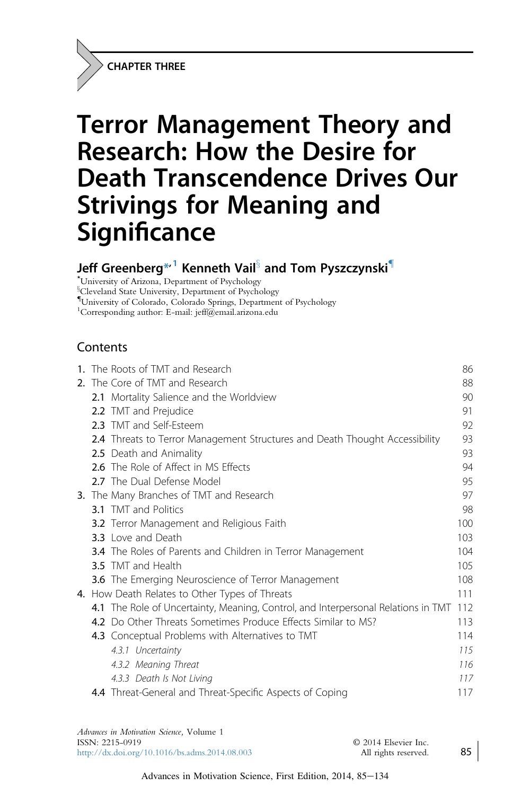CHAPTER THREE

# Terror Management Theory and Research: How the Desire for Death Transcendence Drives Our Strivings for Meaning and **Significance**

# Jeff Greenberg\*<sup>, 1</sup> Kenneth Vail<sup>§</sup> and Tom Pyszczynski<sup>¶</sup>

\* University of Arizona, Department of Psychology

<sup>§</sup>Cleveland State University, Department of Psychology

{ University of Colorado, Colorado Springs, Department of Psychology

1 Corresponding author: E-mail: jeff@email.arizona.edu

# **Contents**

|  | 1. The Roots of TMT and Research                                                   | 86  |
|--|------------------------------------------------------------------------------------|-----|
|  | 2. The Core of TMT and Research                                                    | 88  |
|  | 2.1 Mortality Salience and the Worldview                                           | 90  |
|  | 2.2 TMT and Prejudice                                                              | 91  |
|  | 2.3 TMT and Self-Esteem                                                            | 92  |
|  | <b>2.4</b> Threats to Terror Management Structures and Death Thought Accessibility | 93  |
|  | 2.5 Death and Animality                                                            | 93  |
|  | 2.6 The Role of Affect in MS Effects                                               | 94  |
|  | 2.7 The Dual Defense Model                                                         | 95  |
|  | 3. The Many Branches of TMT and Research                                           | 97  |
|  | <b>3.1 TMT and Politics</b>                                                        | 98  |
|  | <b>3.2</b> Terror Management and Religious Faith                                   | 100 |
|  | <b>3.3</b> Love and Death                                                          | 103 |
|  | <b>3.4</b> The Roles of Parents and Children in Terror Management                  | 104 |
|  | 3.5 TMT and Health                                                                 | 105 |
|  | <b>3.6</b> The Emerging Neuroscience of Terror Management                          | 108 |
|  | 4. How Death Relates to Other Types of Threats                                     | 111 |
|  | 4.1 The Role of Uncertainty, Meaning, Control, and Interpersonal Relations in TMT  | 112 |
|  | 4.2 Do Other Threats Sometimes Produce Effects Similar to MS?                      | 113 |
|  | 4.3 Conceptual Problems with Alternatives to TMT                                   | 114 |
|  | 4.3.1 Uncertainty                                                                  | 115 |
|  | 4.3.2 Meaning Threat                                                               | 116 |
|  | 4.3.3 Death Is Not Living                                                          | 117 |
|  | 4.4 Threat-General and Threat-Specific Aspects of Coping                           | 117 |

Advances in Motivation Science, Volume 1 ISSN: 2215-0919 <http://dx.doi.org/10.1016/bs.adms.2014.08.003>

© 2014 Elsevier Inc. All rights reserved. 85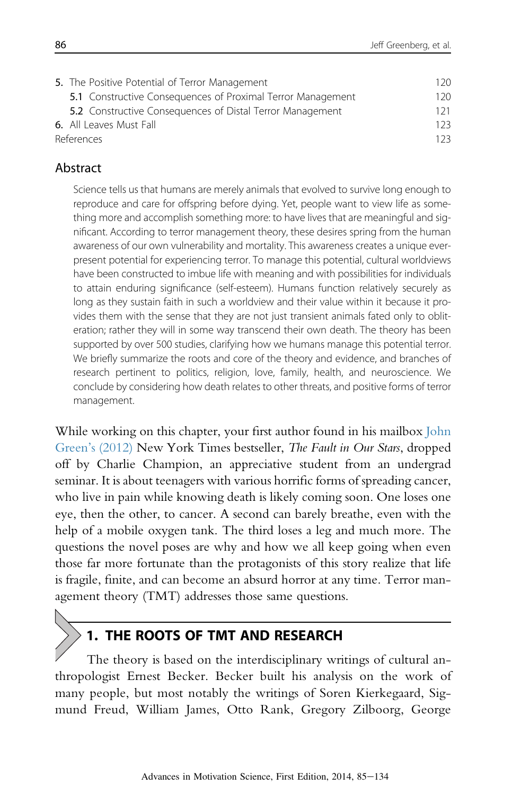|            | 5. The Positive Potential of Terror Management                   | 120 |
|------------|------------------------------------------------------------------|-----|
|            | 5.1 Constructive Consequences of Proximal Terror Management      | 120 |
|            | <b>5.2</b> Constructive Consequences of Distal Terror Management | 121 |
|            | <b>6.</b> All Leaves Must Fall                                   | 123 |
| References |                                                                  |     |
|            |                                                                  |     |

# Abstract

Science tells us that humans are merely animals that evolved to survive long enough to reproduce and care for offspring before dying. Yet, people want to view life as something more and accomplish something more: to have lives that are meaningful and significant. According to terror management theory, these desires spring from the human awareness of our own vulnerability and mortality. This awareness creates a unique everpresent potential for experiencing terror. To manage this potential, cultural worldviews have been constructed to imbue life with meaning and with possibilities for individuals to attain enduring significance (self-esteem). Humans function relatively securely as long as they sustain faith in such a worldview and their value within it because it provides them with the sense that they are not just transient animals fated only to obliteration; rather they will in some way transcend their own death. The theory has been supported by over 500 studies, clarifying how we humans manage this potential terror. We briefly summarize the roots and core of the theory and evidence, and branches of research pertinent to politics, religion, love, family, health, and neuroscience. We conclude by considering how death relates to other threats, and positive forms of terror management.

While working on this chapter, your first author found in his mailbox John Green's (2012) New York Times bestseller, The Fault in Our Stars, dropped off by Charlie Champion, an appreciative student from an undergrad seminar. It is about teenagers with various horrific forms of spreading cancer, who live in pain while knowing death is likely coming soon. One loses one eye, then the other, to cancer. A second can barely breathe, even with the help of a mobile oxygen tank. The third loses a leg and much more. The questions the novel poses are why and how we all keep going when even those far more fortunate than the protagonists of this story realize that life is fragile, finite, and can become an absurd horror at any time. Terror management theory (TMT) addresses those same questions.

# 1. THE ROOTS OF TMT AND RESEARCH

The theory is based on the interdisciplinary writings of cultural anthropologist Ernest Becker. Becker built his analysis on the work of many people, but most notably the writings of Soren Kierkegaard, Sigmund Freud, William James, Otto Rank, Gregory Zilboorg, George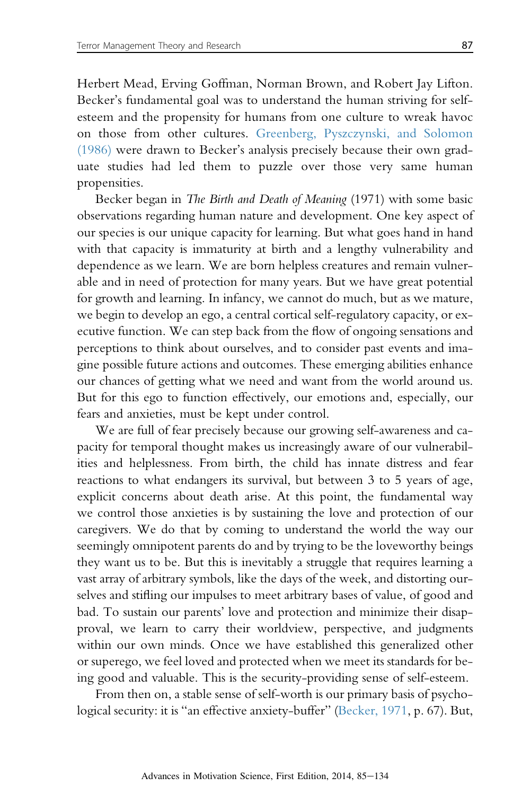Herbert Mead, Erving Goffman, Norman Brown, and Robert Jay Lifton. Becker's fundamental goal was to understand the human striving for selfesteem and the propensity for humans from one culture to wreak havoc on those from other cultures. Greenberg, Pyszczynski, and Solomon (1986) were drawn to Becker's analysis precisely because their own graduate studies had led them to puzzle over those very same human propensities.

Becker began in The Birth and Death of Meaning (1971) with some basic observations regarding human nature and development. One key aspect of our species is our unique capacity for learning. But what goes hand in hand with that capacity is immaturity at birth and a lengthy vulnerability and dependence as we learn. We are born helpless creatures and remain vulnerable and in need of protection for many years. But we have great potential for growth and learning. In infancy, we cannot do much, but as we mature, we begin to develop an ego, a central cortical self-regulatory capacity, or executive function. We can step back from the flow of ongoing sensations and perceptions to think about ourselves, and to consider past events and imagine possible future actions and outcomes. These emerging abilities enhance our chances of getting what we need and want from the world around us. But for this ego to function effectively, our emotions and, especially, our fears and anxieties, must be kept under control.

We are full of fear precisely because our growing self-awareness and capacity for temporal thought makes us increasingly aware of our vulnerabilities and helplessness. From birth, the child has innate distress and fear reactions to what endangers its survival, but between 3 to 5 years of age, explicit concerns about death arise. At this point, the fundamental way we control those anxieties is by sustaining the love and protection of our caregivers. We do that by coming to understand the world the way our seemingly omnipotent parents do and by trying to be the loveworthy beings they want us to be. But this is inevitably a struggle that requires learning a vast array of arbitrary symbols, like the days of the week, and distorting ourselves and stifling our impulses to meet arbitrary bases of value, of good and bad. To sustain our parents' love and protection and minimize their disapproval, we learn to carry their worldview, perspective, and judgments within our own minds. Once we have established this generalized other or superego, we feel loved and protected when we meet its standards for being good and valuable. This is the security-providing sense of self-esteem.

From then on, a stable sense of self-worth is our primary basis of psychological security: it is "an effective anxiety-buffer" (Becker, 1971, p. 67). But,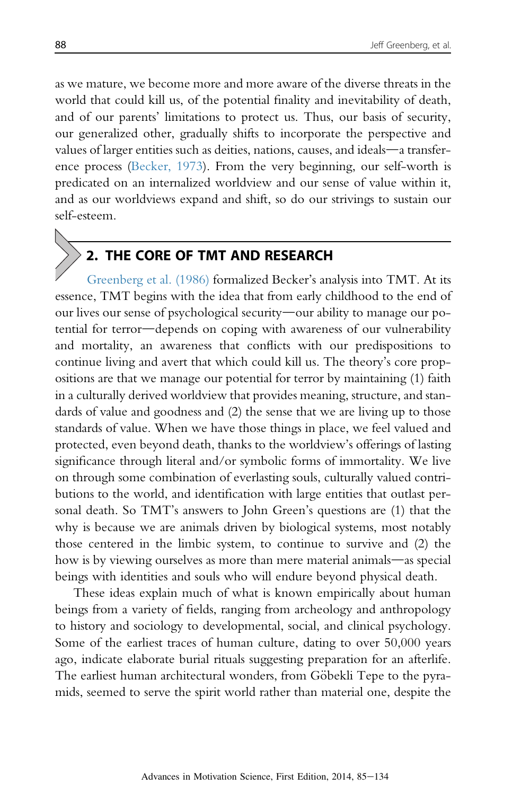as we mature, we become more and more aware of the diverse threats in the world that could kill us, of the potential finality and inevitability of death, and of our parents' limitations to protect us. Thus, our basis of security, our generalized other, gradually shifts to incorporate the perspective and values of larger entities such as deities, nations, causes, and ideals—a transference process (Becker, 1973). From the very beginning, our self-worth is predicated on an internalized worldview and our sense of value within it, and as our worldviews expand and shift, so do our strivings to sustain our self-esteem.

# 2. THE CORE OF TMT AND RESEARCH

Greenberg et al. (1986) formalized Becker's analysis into TMT. At its essence, TMT begins with the idea that from early childhood to the end of our lives our sense of psychological security—our ability to manage our potential for terror—depends on coping with awareness of our vulnerability and mortality, an awareness that conflicts with our predispositions to continue living and avert that which could kill us. The theory's core propositions are that we manage our potential for terror by maintaining (1) faith in a culturally derived worldview that provides meaning, structure, and standards of value and goodness and (2) the sense that we are living up to those standards of value. When we have those things in place, we feel valued and protected, even beyond death, thanks to the worldview's offerings of lasting significance through literal and/or symbolic forms of immortality. We live on through some combination of everlasting souls, culturally valued contributions to the world, and identification with large entities that outlast personal death. So TMT's answers to John Green's questions are (1) that the why is because we are animals driven by biological systems, most notably those centered in the limbic system, to continue to survive and (2) the how is by viewing ourselves as more than mere material animals—as special beings with identities and souls who will endure beyond physical death.

These ideas explain much of what is known empirically about human beings from a variety of fields, ranging from archeology and anthropology to history and sociology to developmental, social, and clinical psychology. Some of the earliest traces of human culture, dating to over 50,000 years ago, indicate elaborate burial rituals suggesting preparation for an afterlife. The earliest human architectural wonders, from Göbekli Tepe to the pyramids, seemed to serve the spirit world rather than material one, despite the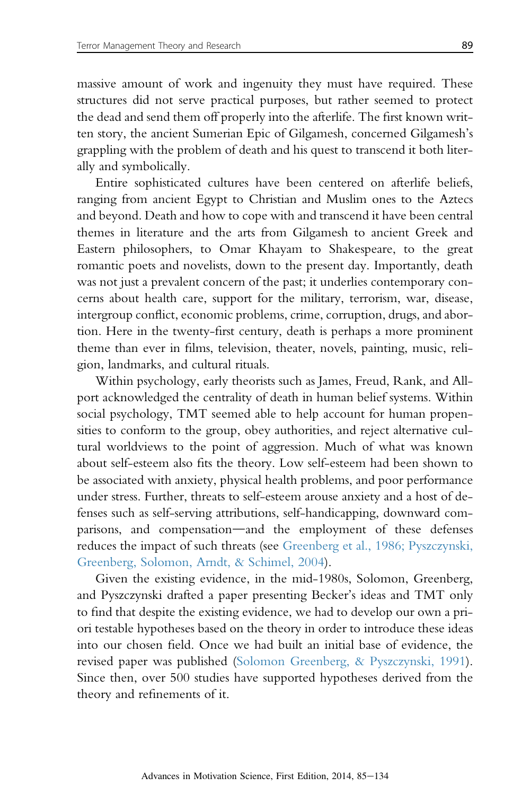massive amount of work and ingenuity they must have required. These structures did not serve practical purposes, but rather seemed to protect the dead and send them off properly into the afterlife. The first known written story, the ancient Sumerian Epic of Gilgamesh, concerned Gilgamesh's grappling with the problem of death and his quest to transcend it both literally and symbolically.

Entire sophisticated cultures have been centered on afterlife beliefs, ranging from ancient Egypt to Christian and Muslim ones to the Aztecs and beyond. Death and how to cope with and transcend it have been central themes in literature and the arts from Gilgamesh to ancient Greek and Eastern philosophers, to Omar Khayam to Shakespeare, to the great romantic poets and novelists, down to the present day. Importantly, death was not just a prevalent concern of the past; it underlies contemporary concerns about health care, support for the military, terrorism, war, disease, intergroup conflict, economic problems, crime, corruption, drugs, and abortion. Here in the twenty-first century, death is perhaps a more prominent theme than ever in films, television, theater, novels, painting, music, religion, landmarks, and cultural rituals.

Within psychology, early theorists such as James, Freud, Rank, and Allport acknowledged the centrality of death in human belief systems. Within social psychology, TMT seemed able to help account for human propensities to conform to the group, obey authorities, and reject alternative cultural worldviews to the point of aggression. Much of what was known about self-esteem also fits the theory. Low self-esteem had been shown to be associated with anxiety, physical health problems, and poor performance under stress. Further, threats to self-esteem arouse anxiety and a host of defenses such as self-serving attributions, self-handicapping, downward comparisons, and compensation—and the employment of these defenses reduces the impact of such threats (see Greenberg et al., 1986; Pyszczynski, Greenberg, Solomon, Arndt, & Schimel, 2004).

Given the existing evidence, in the mid-1980s, Solomon, Greenberg, and Pyszczynski drafted a paper presenting Becker's ideas and TMT only to find that despite the existing evidence, we had to develop our own a priori testable hypotheses based on the theory in order to introduce these ideas into our chosen field. Once we had built an initial base of evidence, the revised paper was published (Solomon Greenberg, & Pyszczynski, 1991). Since then, over 500 studies have supported hypotheses derived from the theory and refinements of it.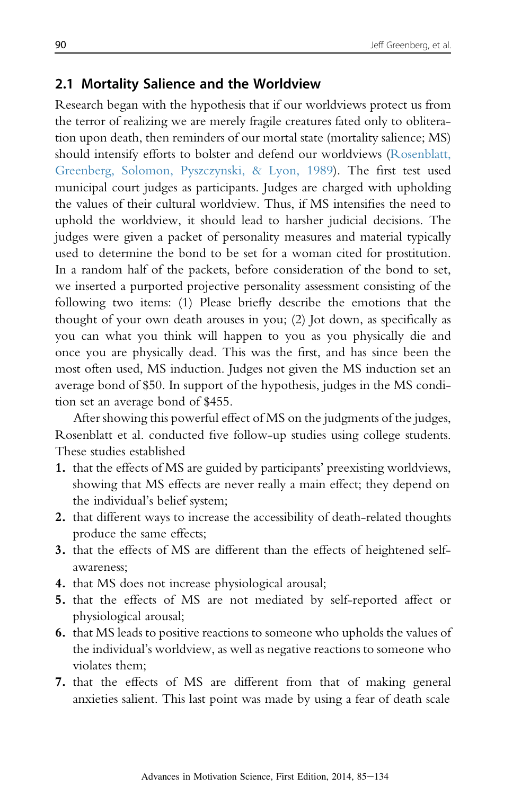#### 2.1 Mortality Salience and the Worldview

Research began with the hypothesis that if our worldviews protect us from the terror of realizing we are merely fragile creatures fated only to obliteration upon death, then reminders of our mortal state (mortality salience; MS) should intensify efforts to bolster and defend our worldviews (Rosenblatt, Greenberg, Solomon, Pyszczynski, & Lyon, 1989). The first test used municipal court judges as participants. Judges are charged with upholding the values of their cultural worldview. Thus, if MS intensifies the need to uphold the worldview, it should lead to harsher judicial decisions. The judges were given a packet of personality measures and material typically used to determine the bond to be set for a woman cited for prostitution. In a random half of the packets, before consideration of the bond to set, we inserted a purported projective personality assessment consisting of the following two items: (1) Please briefly describe the emotions that the thought of your own death arouses in you; (2) Jot down, as specifically as you can what you think will happen to you as you physically die and once you are physically dead. This was the first, and has since been the most often used, MS induction. Judges not given the MS induction set an average bond of \$50. In support of the hypothesis, judges in the MS condition set an average bond of \$455.

After showing this powerful effect of MS on the judgments of the judges, Rosenblatt et al. conducted five follow-up studies using college students. These studies established

- 1. that the effects of MS are guided by participants' preexisting worldviews, showing that MS effects are never really a main effect; they depend on the individual's belief system;
- 2. that different ways to increase the accessibility of death-related thoughts produce the same effects;
- 3. that the effects of MS are different than the effects of heightened selfawareness;
- 4. that MS does not increase physiological arousal;
- 5. that the effects of MS are not mediated by self-reported affect or physiological arousal;
- 6. that MS leads to positive reactions to someone who upholds the values of the individual's worldview, as well as negative reactions to someone who violates them;
- 7. that the effects of MS are different from that of making general anxieties salient. This last point was made by using a fear of death scale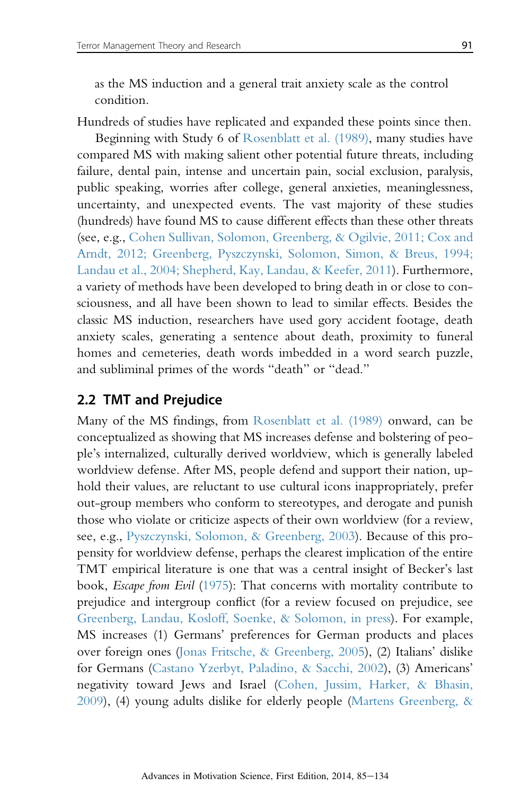as the MS induction and a general trait anxiety scale as the control condition.

Hundreds of studies have replicated and expanded these points since then.

Beginning with Study 6 of Rosenblatt et al. (1989), many studies have compared MS with making salient other potential future threats, including failure, dental pain, intense and uncertain pain, social exclusion, paralysis, public speaking, worries after college, general anxieties, meaninglessness, uncertainty, and unexpected events. The vast majority of these studies (hundreds) have found MS to cause different effects than these other threats (see, e.g., Cohen Sullivan, Solomon, Greenberg, & Ogilvie, 2011; Cox and Arndt, 2012; Greenberg, Pyszczynski, Solomon, Simon, & Breus, 1994; Landau et al., 2004; Shepherd, Kay, Landau, & Keefer, 2011). Furthermore, a variety of methods have been developed to bring death in or close to consciousness, and all have been shown to lead to similar effects. Besides the classic MS induction, researchers have used gory accident footage, death anxiety scales, generating a sentence about death, proximity to funeral homes and cemeteries, death words imbedded in a word search puzzle, and subliminal primes of the words "death" or "dead."

#### 2.2 TMT and Prejudice

Many of the MS findings, from Rosenblatt et al. (1989) onward, can be conceptualized as showing that MS increases defense and bolstering of people's internalized, culturally derived worldview, which is generally labeled worldview defense. After MS, people defend and support their nation, uphold their values, are reluctant to use cultural icons inappropriately, prefer out-group members who conform to stereotypes, and derogate and punish those who violate or criticize aspects of their own worldview (for a review, see, e.g., Pyszczynski, Solomon, & Greenberg, 2003). Because of this propensity for worldview defense, perhaps the clearest implication of the entire TMT empirical literature is one that was a central insight of Becker's last book, Escape from Evil (1975): That concerns with mortality contribute to prejudice and intergroup conflict (for a review focused on prejudice, see Greenberg, Landau, Kosloff, Soenke, & Solomon, in press). For example, MS increases (1) Germans' preferences for German products and places over foreign ones (Jonas Fritsche, & Greenberg, 2005), (2) Italians' dislike for Germans (Castano Yzerbyt, Paladino, & Sacchi, 2002), (3) Americans' negativity toward Jews and Israel (Cohen, Jussim, Harker, & Bhasin,  $2009$ ), (4) young adults dislike for elderly people (Martens Greenberg, &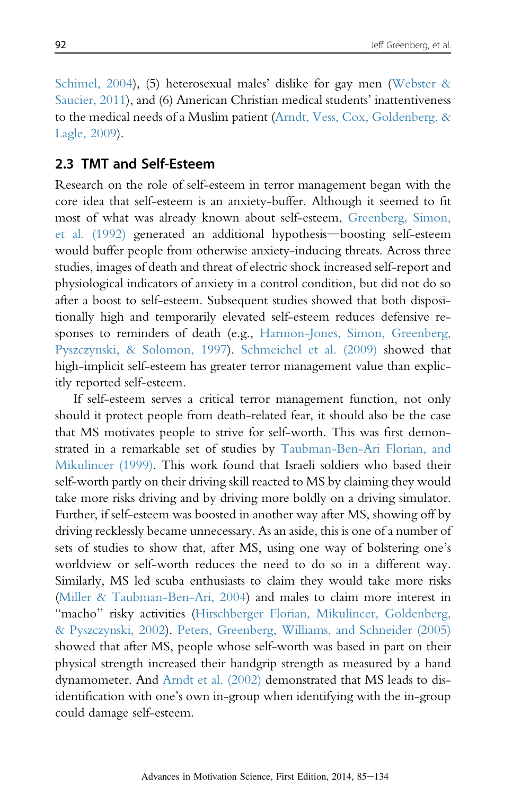Schimel, 2004), (5) heterosexual males' dislike for gay men (Webster & Saucier, 2011), and (6) American Christian medical students' inattentiveness to the medical needs of a Muslim patient (Arndt, Vess, Cox, Goldenberg, & Lagle, 2009).

# 2.3 TMT and Self-Esteem

Research on the role of self-esteem in terror management began with the core idea that self-esteem is an anxiety-buffer. Although it seemed to fit most of what was already known about self-esteem, Greenberg, Simon, et al. (1992) generated an additional hypothesis—boosting self-esteem would buffer people from otherwise anxiety-inducing threats. Across three studies, images of death and threat of electric shock increased self-report and physiological indicators of anxiety in a control condition, but did not do so after a boost to self-esteem. Subsequent studies showed that both dispositionally high and temporarily elevated self-esteem reduces defensive responses to reminders of death (e.g., Harmon-Jones, Simon, Greenberg, Pyszczynski, & Solomon, 1997). Schmeichel et al. (2009) showed that high-implicit self-esteem has greater terror management value than explicitly reported self-esteem.

If self-esteem serves a critical terror management function, not only should it protect people from death-related fear, it should also be the case that MS motivates people to strive for self-worth. This was first demonstrated in a remarkable set of studies by Taubman-Ben-Ari Florian, and Mikulincer (1999). This work found that Israeli soldiers who based their self-worth partly on their driving skill reacted to MS by claiming they would take more risks driving and by driving more boldly on a driving simulator. Further, if self-esteem was boosted in another way after MS, showing off by driving recklessly became unnecessary. As an aside, this is one of a number of sets of studies to show that, after MS, using one way of bolstering one's worldview or self-worth reduces the need to do so in a different way. Similarly, MS led scuba enthusiasts to claim they would take more risks (Miller & Taubman-Ben-Ari, 2004) and males to claim more interest in "macho" risky activities (Hirschberger Florian, Mikulincer, Goldenberg, & Pyszczynski, 2002). Peters, Greenberg, Williams, and Schneider (2005) showed that after MS, people whose self-worth was based in part on their physical strength increased their handgrip strength as measured by a hand dynamometer. And Arndt et al. (2002) demonstrated that MS leads to disidentification with one's own in-group when identifying with the in-group could damage self-esteem.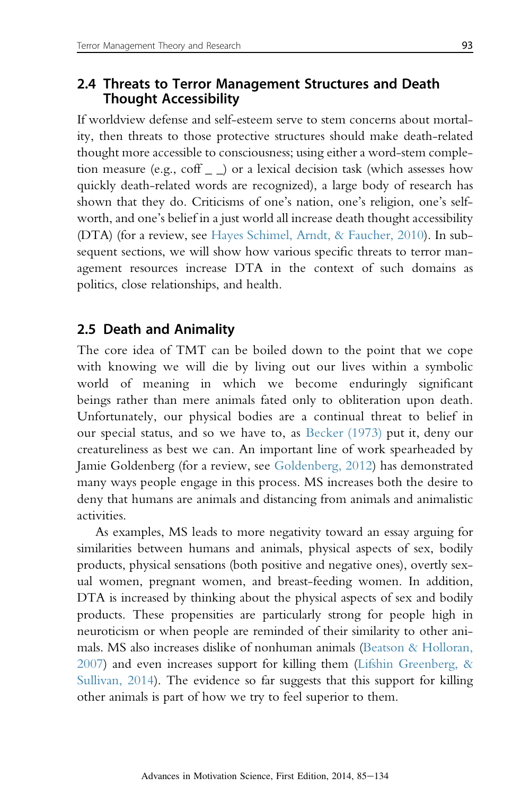#### 2.4 Threats to Terror Management Structures and Death Thought Accessibility

If worldview defense and self-esteem serve to stem concerns about mortality, then threats to those protective structures should make death-related thought more accessible to consciousness; using either a word-stem completion measure (e.g.,  $\text{coff} \_$ ) or a lexical decision task (which assesses how quickly death-related words are recognized), a large body of research has shown that they do. Criticisms of one's nation, one's religion, one's selfworth, and one's belief in a just world all increase death thought accessibility (DTA) (for a review, see Hayes Schimel, Arndt, & Faucher, 2010). In subsequent sections, we will show how various specific threats to terror management resources increase DTA in the context of such domains as politics, close relationships, and health.

#### 2.5 Death and Animality

The core idea of TMT can be boiled down to the point that we cope with knowing we will die by living out our lives within a symbolic world of meaning in which we become enduringly significant beings rather than mere animals fated only to obliteration upon death. Unfortunately, our physical bodies are a continual threat to belief in our special status, and so we have to, as Becker (1973) put it, deny our creatureliness as best we can. An important line of work spearheaded by Jamie Goldenberg (for a review, see Goldenberg, 2012) has demonstrated many ways people engage in this process. MS increases both the desire to deny that humans are animals and distancing from animals and animalistic activities.

As examples, MS leads to more negativity toward an essay arguing for similarities between humans and animals, physical aspects of sex, bodily products, physical sensations (both positive and negative ones), overtly sexual women, pregnant women, and breast-feeding women. In addition, DTA is increased by thinking about the physical aspects of sex and bodily products. These propensities are particularly strong for people high in neuroticism or when people are reminded of their similarity to other animals. MS also increases dislike of nonhuman animals (Beatson & Holloran, 2007) and even increases support for killing them (Lifshin Greenberg, & Sullivan, 2014). The evidence so far suggests that this support for killing other animals is part of how we try to feel superior to them.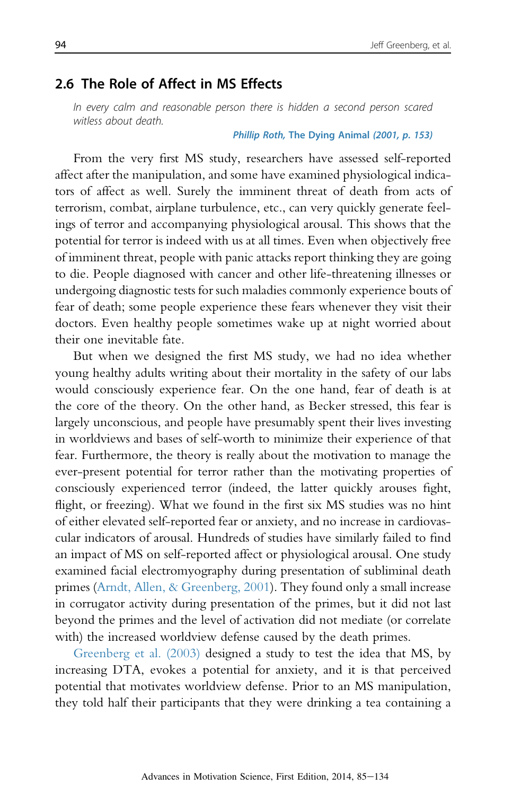### 2.6 The Role of Affect in MS Effects

In every calm and reasonable person there is hidden a second person scared witless about death.

#### Phillip Roth, The Dying Animal (2001, p. 153)

From the very first MS study, researchers have assessed self-reported affect after the manipulation, and some have examined physiological indicators of affect as well. Surely the imminent threat of death from acts of terrorism, combat, airplane turbulence, etc., can very quickly generate feelings of terror and accompanying physiological arousal. This shows that the potential for terror is indeed with us at all times. Even when objectively free of imminent threat, people with panic attacks report thinking they are going to die. People diagnosed with cancer and other life-threatening illnesses or undergoing diagnostic tests for such maladies commonly experience bouts of fear of death; some people experience these fears whenever they visit their doctors. Even healthy people sometimes wake up at night worried about their one inevitable fate.

But when we designed the first MS study, we had no idea whether young healthy adults writing about their mortality in the safety of our labs would consciously experience fear. On the one hand, fear of death is at the core of the theory. On the other hand, as Becker stressed, this fear is largely unconscious, and people have presumably spent their lives investing in worldviews and bases of self-worth to minimize their experience of that fear. Furthermore, the theory is really about the motivation to manage the ever-present potential for terror rather than the motivating properties of consciously experienced terror (indeed, the latter quickly arouses fight, flight, or freezing). What we found in the first six MS studies was no hint of either elevated self-reported fear or anxiety, and no increase in cardiovascular indicators of arousal. Hundreds of studies have similarly failed to find an impact of MS on self-reported affect or physiological arousal. One study examined facial electromyography during presentation of subliminal death primes (Arndt, Allen, & Greenberg, 2001). They found only a small increase in corrugator activity during presentation of the primes, but it did not last beyond the primes and the level of activation did not mediate (or correlate with) the increased worldview defense caused by the death primes.

Greenberg et al. (2003) designed a study to test the idea that MS, by increasing DTA, evokes a potential for anxiety, and it is that perceived potential that motivates worldview defense. Prior to an MS manipulation, they told half their participants that they were drinking a tea containing a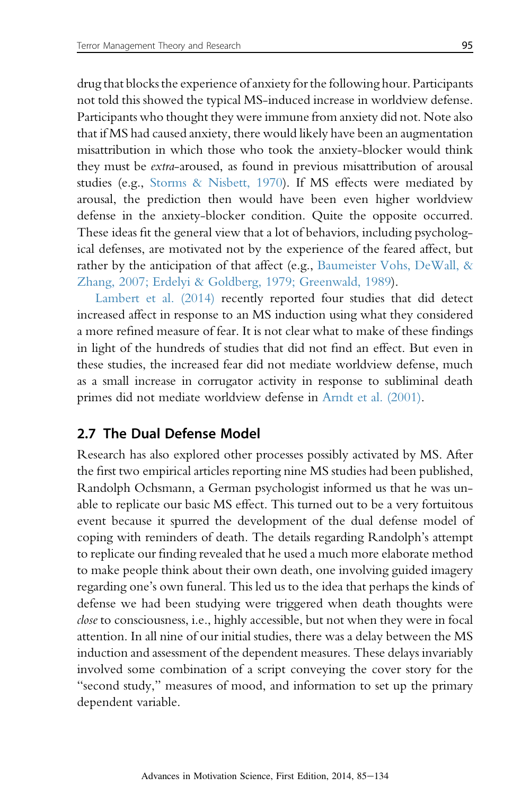drug that blocks the experience of anxiety for the following hour. Participants not told this showed the typical MS-induced increase in worldview defense. Participants who thought they were immune from anxiety did not. Note also that if MS had caused anxiety, there would likely have been an augmentation misattribution in which those who took the anxiety-blocker would think they must be extra-aroused, as found in previous misattribution of arousal studies (e.g., Storms & Nisbett, 1970). If MS effects were mediated by arousal, the prediction then would have been even higher worldview defense in the anxiety-blocker condition. Quite the opposite occurred. These ideas fit the general view that a lot of behaviors, including psychological defenses, are motivated not by the experience of the feared affect, but rather by the anticipation of that affect (e.g., Baumeister Vohs, DeWall, & Zhang, 2007; Erdelyi & Goldberg, 1979; Greenwald, 1989).

Lambert et al. (2014) recently reported four studies that did detect increased affect in response to an MS induction using what they considered a more refined measure of fear. It is not clear what to make of these findings in light of the hundreds of studies that did not find an effect. But even in these studies, the increased fear did not mediate worldview defense, much as a small increase in corrugator activity in response to subliminal death primes did not mediate worldview defense in Arndt et al. (2001).

### 2.7 The Dual Defense Model

Research has also explored other processes possibly activated by MS. After the first two empirical articles reporting nine MS studies had been published, Randolph Ochsmann, a German psychologist informed us that he was unable to replicate our basic MS effect. This turned out to be a very fortuitous event because it spurred the development of the dual defense model of coping with reminders of death. The details regarding Randolph's attempt to replicate our finding revealed that he used a much more elaborate method to make people think about their own death, one involving guided imagery regarding one's own funeral. This led us to the idea that perhaps the kinds of defense we had been studying were triggered when death thoughts were close to consciousness, i.e., highly accessible, but not when they were in focal attention. In all nine of our initial studies, there was a delay between the MS induction and assessment of the dependent measures. These delays invariably involved some combination of a script conveying the cover story for the "second study," measures of mood, and information to set up the primary dependent variable.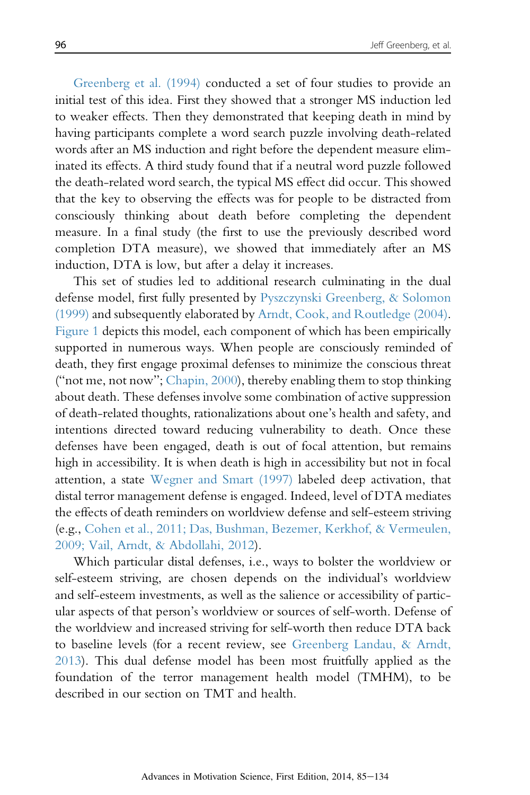Greenberg et al. (1994) conducted a set of four studies to provide an initial test of this idea. First they showed that a stronger MS induction led to weaker effects. Then they demonstrated that keeping death in mind by having participants complete a word search puzzle involving death-related words after an MS induction and right before the dependent measure eliminated its effects. A third study found that if a neutral word puzzle followed the death-related word search, the typical MS effect did occur. This showed that the key to observing the effects was for people to be distracted from consciously thinking about death before completing the dependent measure. In a final study (the first to use the previously described word completion DTA measure), we showed that immediately after an MS induction, DTA is low, but after a delay it increases.

This set of studies led to additional research culminating in the dual defense model, first fully presented by Pyszczynski Greenberg, & Solomon (1999) and subsequently elaborated by Arndt, Cook, and Routledge (2004). Figure 1 depicts this model, each component of which has been empirically supported in numerous ways. When people are consciously reminded of death, they first engage proximal defenses to minimize the conscious threat ("not me, not now"; Chapin, 2000), thereby enabling them to stop thinking about death. These defenses involve some combination of active suppression of death-related thoughts, rationalizations about one's health and safety, and intentions directed toward reducing vulnerability to death. Once these defenses have been engaged, death is out of focal attention, but remains high in accessibility. It is when death is high in accessibility but not in focal attention, a state Wegner and Smart (1997) labeled deep activation, that distal terror management defense is engaged. Indeed, level of DTA mediates the effects of death reminders on worldview defense and self-esteem striving (e.g., Cohen et al., 2011; Das, Bushman, Bezemer, Kerkhof, & Vermeulen, 2009; Vail, Arndt, & Abdollahi, 2012).

Which particular distal defenses, i.e., ways to bolster the worldview or self-esteem striving, are chosen depends on the individual's worldview and self-esteem investments, as well as the salience or accessibility of particular aspects of that person's worldview or sources of self-worth. Defense of the worldview and increased striving for self-worth then reduce DTA back to baseline levels (for a recent review, see Greenberg Landau, & Arndt, 2013). This dual defense model has been most fruitfully applied as the foundation of the terror management health model (TMHM), to be described in our section on TMT and health.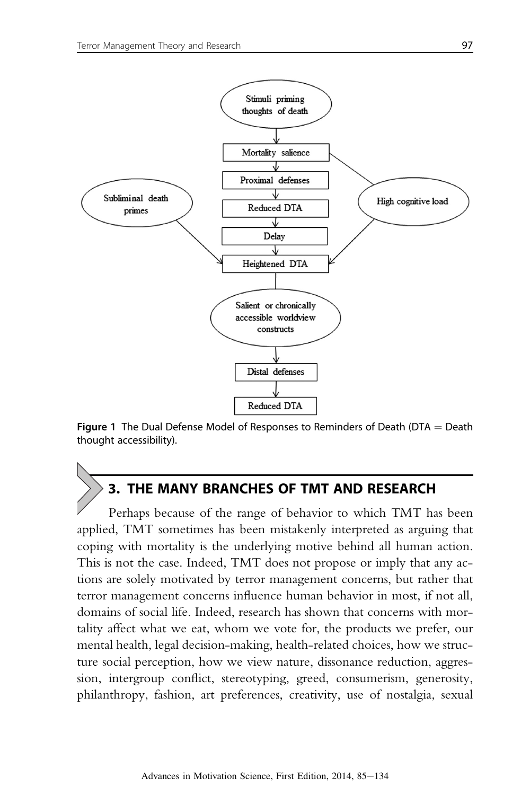

Figure 1 The Dual Defense Model of Responses to Reminders of Death (DTA  $=$  Death thought accessibility).

# 3. THE MANY BRANCHES OF TMT AND RESEARCH

Perhaps because of the range of behavior to which TMT has been applied, TMT sometimes has been mistakenly interpreted as arguing that coping with mortality is the underlying motive behind all human action. This is not the case. Indeed, TMT does not propose or imply that any actions are solely motivated by terror management concerns, but rather that terror management concerns influence human behavior in most, if not all, domains of social life. Indeed, research has shown that concerns with mortality affect what we eat, whom we vote for, the products we prefer, our mental health, legal decision-making, health-related choices, how we structure social perception, how we view nature, dissonance reduction, aggression, intergroup conflict, stereotyping, greed, consumerism, generosity, philanthropy, fashion, art preferences, creativity, use of nostalgia, sexual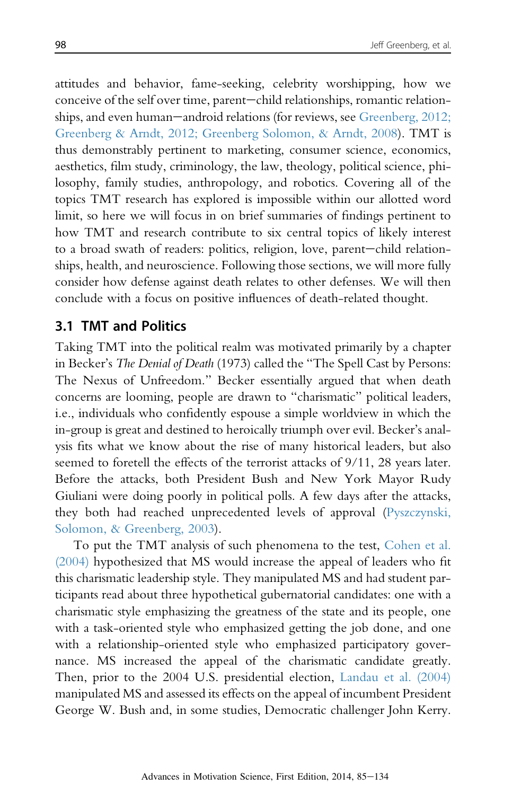attitudes and behavior, fame-seeking, celebrity worshipping, how we conceive of the self over time, parent-child relationships, romantic relationships, and even human—android relations (for reviews, see Greenberg, 2012; Greenberg & Arndt, 2012; Greenberg Solomon, & Arndt, 2008). TMT is thus demonstrably pertinent to marketing, consumer science, economics, aesthetics, film study, criminology, the law, theology, political science, philosophy, family studies, anthropology, and robotics. Covering all of the topics TMT research has explored is impossible within our allotted word limit, so here we will focus in on brief summaries of findings pertinent to how TMT and research contribute to six central topics of likely interest to a broad swath of readers: politics, religion, love, parent-child relationships, health, and neuroscience. Following those sections, we will more fully consider how defense against death relates to other defenses. We will then conclude with a focus on positive influences of death-related thought.

### 3.1 TMT and Politics

Taking TMT into the political realm was motivated primarily by a chapter in Becker's The Denial of Death (1973) called the "The Spell Cast by Persons: The Nexus of Unfreedom." Becker essentially argued that when death concerns are looming, people are drawn to "charismatic" political leaders, i.e., individuals who confidently espouse a simple worldview in which the in-group is great and destined to heroically triumph over evil. Becker's analysis fits what we know about the rise of many historical leaders, but also seemed to foretell the effects of the terrorist attacks of 9/11, 28 years later. Before the attacks, both President Bush and New York Mayor Rudy Giuliani were doing poorly in political polls. A few days after the attacks, they both had reached unprecedented levels of approval (Pyszczynski, Solomon, & Greenberg, 2003).

To put the TMT analysis of such phenomena to the test, Cohen et al. (2004) hypothesized that MS would increase the appeal of leaders who fit this charismatic leadership style. They manipulated MS and had student participants read about three hypothetical gubernatorial candidates: one with a charismatic style emphasizing the greatness of the state and its people, one with a task-oriented style who emphasized getting the job done, and one with a relationship-oriented style who emphasized participatory governance. MS increased the appeal of the charismatic candidate greatly. Then, prior to the 2004 U.S. presidential election, Landau et al. (2004) manipulated MS and assessed its effects on the appeal of incumbent President George W. Bush and, in some studies, Democratic challenger John Kerry.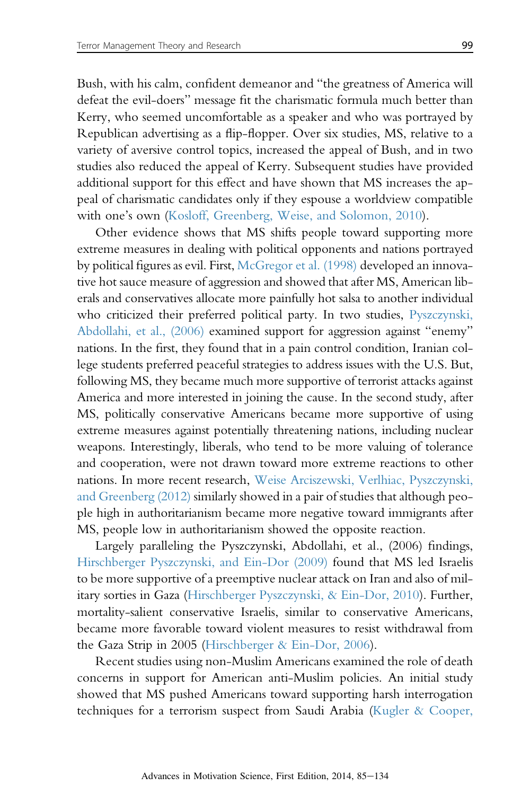Bush, with his calm, confident demeanor and "the greatness of America will defeat the evil-doers" message fit the charismatic formula much better than Kerry, who seemed uncomfortable as a speaker and who was portrayed by Republican advertising as a flip-flopper. Over six studies, MS, relative to a variety of aversive control topics, increased the appeal of Bush, and in two studies also reduced the appeal of Kerry. Subsequent studies have provided additional support for this effect and have shown that MS increases the appeal of charismatic candidates only if they espouse a worldview compatible with one's own (Kosloff, Greenberg, Weise, and Solomon, 2010).

Other evidence shows that MS shifts people toward supporting more extreme measures in dealing with political opponents and nations portrayed by political figures as evil. First, McGregor et al. (1998) developed an innovative hot sauce measure of aggression and showed that after MS, American liberals and conservatives allocate more painfully hot salsa to another individual who criticized their preferred political party. In two studies, Pyszczynski, Abdollahi, et al., (2006) examined support for aggression against "enemy" nations. In the first, they found that in a pain control condition, Iranian college students preferred peaceful strategies to address issues with the U.S. But, following MS, they became much more supportive of terrorist attacks against America and more interested in joining the cause. In the second study, after MS, politically conservative Americans became more supportive of using extreme measures against potentially threatening nations, including nuclear weapons. Interestingly, liberals, who tend to be more valuing of tolerance and cooperation, were not drawn toward more extreme reactions to other nations. In more recent research, Weise Arciszewski, Verlhiac, Pyszczynski, and Greenberg (2012) similarly showed in a pair of studies that although people high in authoritarianism became more negative toward immigrants after MS, people low in authoritarianism showed the opposite reaction.

Largely paralleling the Pyszczynski, Abdollahi, et al., (2006) findings, Hirschberger Pyszczynski, and Ein-Dor (2009) found that MS led Israelis to be more supportive of a preemptive nuclear attack on Iran and also of military sorties in Gaza (Hirschberger Pyszczynski, & Ein-Dor, 2010). Further, mortality-salient conservative Israelis, similar to conservative Americans, became more favorable toward violent measures to resist withdrawal from the Gaza Strip in 2005 (Hirschberger & Ein-Dor, 2006).

Recent studies using non-Muslim Americans examined the role of death concerns in support for American anti-Muslim policies. An initial study showed that MS pushed Americans toward supporting harsh interrogation techniques for a terrorism suspect from Saudi Arabia (Kugler & Cooper,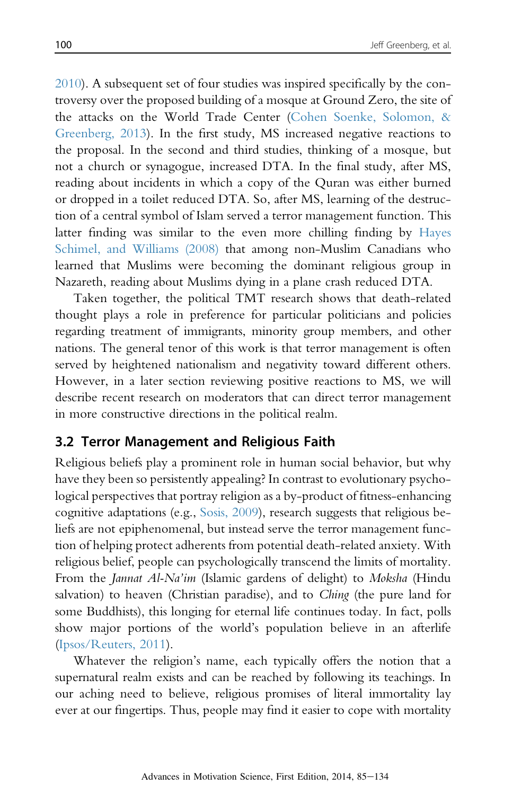2010). A subsequent set of four studies was inspired specifically by the controversy over the proposed building of a mosque at Ground Zero, the site of the attacks on the World Trade Center (Cohen Soenke, Solomon, & Greenberg, 2013). In the first study, MS increased negative reactions to the proposal. In the second and third studies, thinking of a mosque, but not a church or synagogue, increased DTA. In the final study, after MS, reading about incidents in which a copy of the Quran was either burned or dropped in a toilet reduced DTA. So, after MS, learning of the destruction of a central symbol of Islam served a terror management function. This latter finding was similar to the even more chilling finding by Hayes Schimel, and Williams (2008) that among non-Muslim Canadians who learned that Muslims were becoming the dominant religious group in Nazareth, reading about Muslims dying in a plane crash reduced DTA.

Taken together, the political TMT research shows that death-related thought plays a role in preference for particular politicians and policies regarding treatment of immigrants, minority group members, and other nations. The general tenor of this work is that terror management is often served by heightened nationalism and negativity toward different others. However, in a later section reviewing positive reactions to MS, we will describe recent research on moderators that can direct terror management in more constructive directions in the political realm.

#### 3.2 Terror Management and Religious Faith

Religious beliefs play a prominent role in human social behavior, but why have they been so persistently appealing? In contrast to evolutionary psychological perspectives that portray religion as a by-product of fitness-enhancing cognitive adaptations (e.g., Sosis, 2009), research suggests that religious beliefs are not epiphenomenal, but instead serve the terror management function of helping protect adherents from potential death-related anxiety. With religious belief, people can psychologically transcend the limits of mortality. From the Jannat Al-Na'im (Islamic gardens of delight) to Moksha (Hindu salvation) to heaven (Christian paradise), and to Ching (the pure land for some Buddhists), this longing for eternal life continues today. In fact, polls show major portions of the world's population believe in an afterlife (Ipsos/Reuters, 2011).

Whatever the religion's name, each typically offers the notion that a supernatural realm exists and can be reached by following its teachings. In our aching need to believe, religious promises of literal immortality lay ever at our fingertips. Thus, people may find it easier to cope with mortality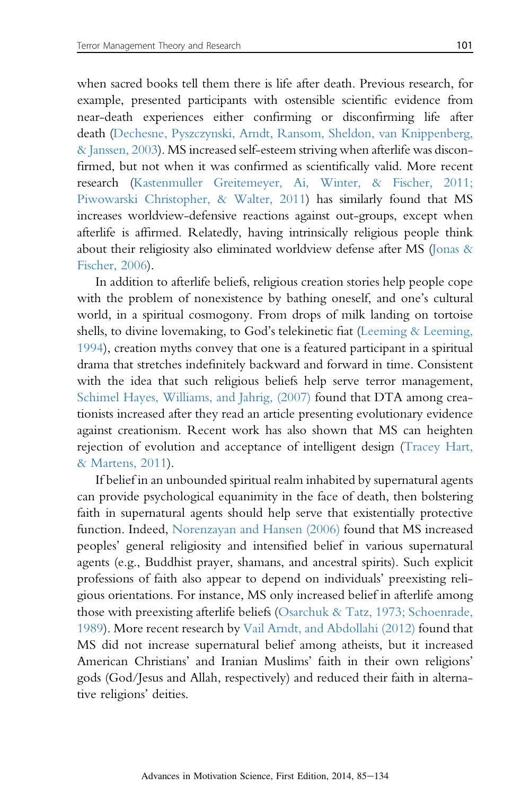when sacred books tell them there is life after death. Previous research, for example, presented participants with ostensible scientific evidence from near-death experiences either confirming or disconfirming life after death (Dechesne, Pyszczynski, Arndt, Ransom, Sheldon, van Knippenberg, & Janssen, 2003). MS increased self-esteem striving when afterlife was disconfirmed, but not when it was confirmed as scientifically valid. More recent research (Kastenmuller Greitemeyer, Ai, Winter, & Fischer, 2011; Piwowarski Christopher, & Walter, 2011) has similarly found that MS increases worldview-defensive reactions against out-groups, except when afterlife is affirmed. Relatedly, having intrinsically religious people think about their religiosity also eliminated worldview defense after MS (Jonas  $\&$ Fischer, 2006).

In addition to afterlife beliefs, religious creation stories help people cope with the problem of nonexistence by bathing oneself, and one's cultural world, in a spiritual cosmogony. From drops of milk landing on tortoise shells, to divine lovemaking, to God's telekinetic fiat (Leeming & Leeming, 1994), creation myths convey that one is a featured participant in a spiritual drama that stretches indefinitely backward and forward in time. Consistent with the idea that such religious beliefs help serve terror management, Schimel Hayes, Williams, and Jahrig, (2007) found that DTA among creationists increased after they read an article presenting evolutionary evidence against creationism. Recent work has also shown that MS can heighten rejection of evolution and acceptance of intelligent design (Tracey Hart, & Martens, 2011).

If belief in an unbounded spiritual realm inhabited by supernatural agents can provide psychological equanimity in the face of death, then bolstering faith in supernatural agents should help serve that existentially protective function. Indeed, Norenzayan and Hansen (2006) found that MS increased peoples' general religiosity and intensified belief in various supernatural agents (e.g., Buddhist prayer, shamans, and ancestral spirits). Such explicit professions of faith also appear to depend on individuals' preexisting religious orientations. For instance, MS only increased belief in afterlife among those with preexisting afterlife beliefs (Osarchuk & Tatz, 1973; Schoenrade, 1989). More recent research by Vail Arndt, and Abdollahi (2012) found that MS did not increase supernatural belief among atheists, but it increased American Christians' and Iranian Muslims' faith in their own religions' gods (God/Jesus and Allah, respectively) and reduced their faith in alternative religions' deities.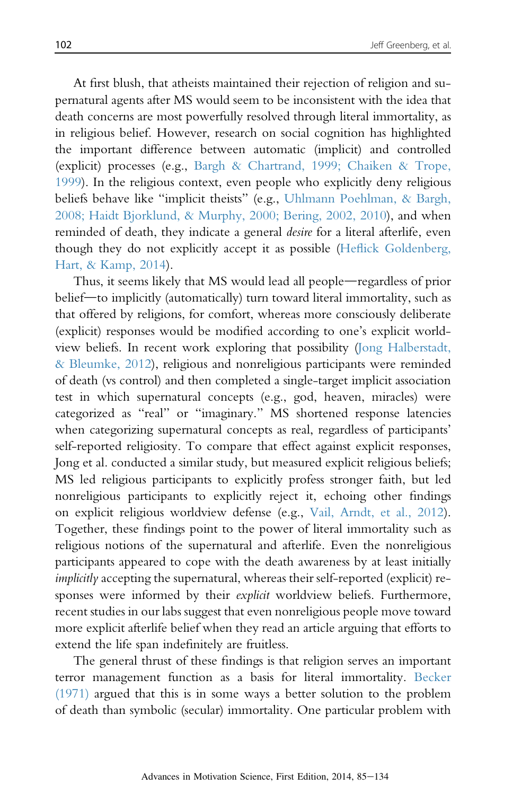At first blush, that atheists maintained their rejection of religion and supernatural agents after MS would seem to be inconsistent with the idea that death concerns are most powerfully resolved through literal immortality, as in religious belief. However, research on social cognition has highlighted the important difference between automatic (implicit) and controlled (explicit) processes (e.g., Bargh & Chartrand, 1999; Chaiken & Trope, 1999). In the religious context, even people who explicitly deny religious beliefs behave like "implicit theists" (e.g., Uhlmann Poehlman, & Bargh, 2008; Haidt Bjorklund, & Murphy, 2000; Bering, 2002, 2010), and when reminded of death, they indicate a general desire for a literal afterlife, even though they do not explicitly accept it as possible (Heflick Goldenberg, Hart, & Kamp, 2014).

Thus, it seems likely that MS would lead all people—regardless of prior belief—to implicitly (automatically) turn toward literal immortality, such as that offered by religions, for comfort, whereas more consciously deliberate (explicit) responses would be modified according to one's explicit worldview beliefs. In recent work exploring that possibility (Jong Halberstadt, & Bleumke, 2012), religious and nonreligious participants were reminded of death (vs control) and then completed a single-target implicit association test in which supernatural concepts (e.g., god, heaven, miracles) were categorized as "real" or "imaginary." MS shortened response latencies when categorizing supernatural concepts as real, regardless of participants' self-reported religiosity. To compare that effect against explicit responses, Jong et al. conducted a similar study, but measured explicit religious beliefs; MS led religious participants to explicitly profess stronger faith, but led nonreligious participants to explicitly reject it, echoing other findings on explicit religious worldview defense (e.g., Vail, Arndt, et al., 2012). Together, these findings point to the power of literal immortality such as religious notions of the supernatural and afterlife. Even the nonreligious participants appeared to cope with the death awareness by at least initially implicitly accepting the supernatural, whereas their self-reported (explicit) responses were informed by their explicit worldview beliefs. Furthermore, recent studies in our labs suggest that even nonreligious people move toward more explicit afterlife belief when they read an article arguing that efforts to extend the life span indefinitely are fruitless.

The general thrust of these findings is that religion serves an important terror management function as a basis for literal immortality. Becker (1971) argued that this is in some ways a better solution to the problem of death than symbolic (secular) immortality. One particular problem with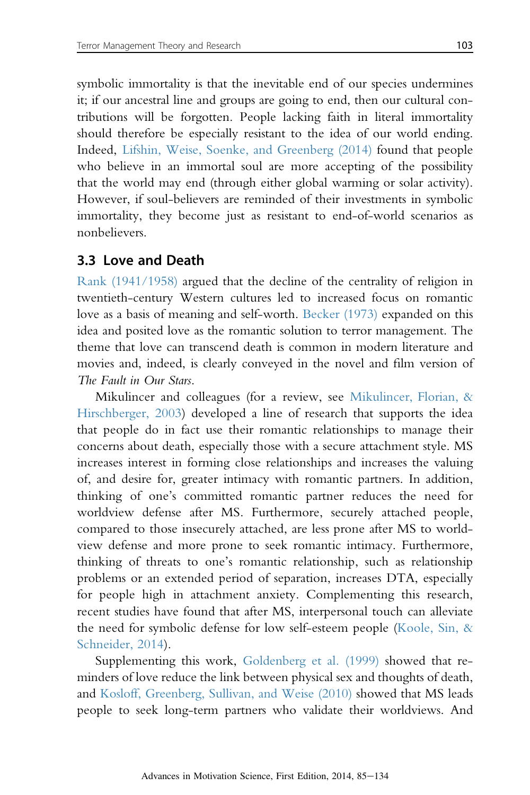symbolic immortality is that the inevitable end of our species undermines it; if our ancestral line and groups are going to end, then our cultural contributions will be forgotten. People lacking faith in literal immortality should therefore be especially resistant to the idea of our world ending. Indeed, Lifshin, Weise, Soenke, and Greenberg (2014) found that people who believe in an immortal soul are more accepting of the possibility that the world may end (through either global warming or solar activity). However, if soul-believers are reminded of their investments in symbolic immortality, they become just as resistant to end-of-world scenarios as nonbelievers.

#### 3.3 Love and Death

Rank (1941/1958) argued that the decline of the centrality of religion in twentieth-century Western cultures led to increased focus on romantic love as a basis of meaning and self-worth. Becker (1973) expanded on this idea and posited love as the romantic solution to terror management. The theme that love can transcend death is common in modern literature and movies and, indeed, is clearly conveyed in the novel and film version of The Fault in Our Stars.

Mikulincer and colleagues (for a review, see Mikulincer, Florian, & Hirschberger, 2003) developed a line of research that supports the idea that people do in fact use their romantic relationships to manage their concerns about death, especially those with a secure attachment style. MS increases interest in forming close relationships and increases the valuing of, and desire for, greater intimacy with romantic partners. In addition, thinking of one's committed romantic partner reduces the need for worldview defense after MS. Furthermore, securely attached people, compared to those insecurely attached, are less prone after MS to worldview defense and more prone to seek romantic intimacy. Furthermore, thinking of threats to one's romantic relationship, such as relationship problems or an extended period of separation, increases DTA, especially for people high in attachment anxiety. Complementing this research, recent studies have found that after MS, interpersonal touch can alleviate the need for symbolic defense for low self-esteem people (Koole, Sin, & Schneider, 2014).

Supplementing this work, Goldenberg et al. (1999) showed that reminders of love reduce the link between physical sex and thoughts of death, and Kosloff, Greenberg, Sullivan, and Weise (2010) showed that MS leads people to seek long-term partners who validate their worldviews. And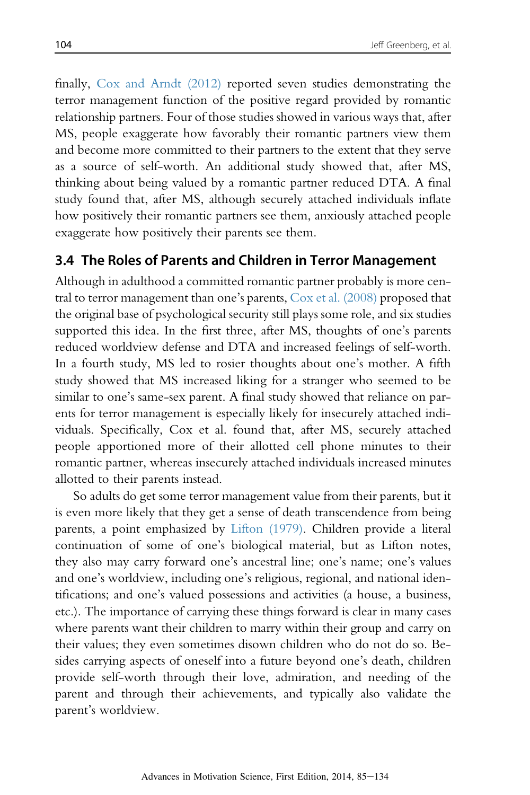finally, Cox and Arndt (2012) reported seven studies demonstrating the terror management function of the positive regard provided by romantic relationship partners. Four of those studies showed in various ways that, after MS, people exaggerate how favorably their romantic partners view them and become more committed to their partners to the extent that they serve as a source of self-worth. An additional study showed that, after MS, thinking about being valued by a romantic partner reduced DTA. A final study found that, after MS, although securely attached individuals inflate how positively their romantic partners see them, anxiously attached people exaggerate how positively their parents see them.

#### 3.4 The Roles of Parents and Children in Terror Management

Although in adulthood a committed romantic partner probably is more central to terror management than one's parents, Cox et al. (2008) proposed that the original base of psychological security still plays some role, and six studies supported this idea. In the first three, after MS, thoughts of one's parents reduced worldview defense and DTA and increased feelings of self-worth. In a fourth study, MS led to rosier thoughts about one's mother. A fifth study showed that MS increased liking for a stranger who seemed to be similar to one's same-sex parent. A final study showed that reliance on parents for terror management is especially likely for insecurely attached individuals. Specifically, Cox et al. found that, after MS, securely attached people apportioned more of their allotted cell phone minutes to their romantic partner, whereas insecurely attached individuals increased minutes allotted to their parents instead.

So adults do get some terror management value from their parents, but it is even more likely that they get a sense of death transcendence from being parents, a point emphasized by Lifton (1979). Children provide a literal continuation of some of one's biological material, but as Lifton notes, they also may carry forward one's ancestral line; one's name; one's values and one's worldview, including one's religious, regional, and national identifications; and one's valued possessions and activities (a house, a business, etc.). The importance of carrying these things forward is clear in many cases where parents want their children to marry within their group and carry on their values; they even sometimes disown children who do not do so. Besides carrying aspects of oneself into a future beyond one's death, children provide self-worth through their love, admiration, and needing of the parent and through their achievements, and typically also validate the parent's worldview.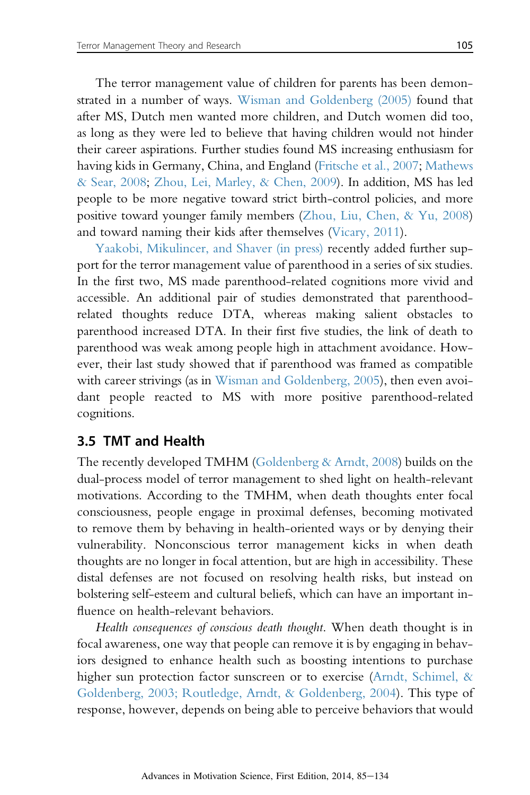The terror management value of children for parents has been demonstrated in a number of ways. Wisman and Goldenberg (2005) found that after MS, Dutch men wanted more children, and Dutch women did too, as long as they were led to believe that having children would not hinder their career aspirations. Further studies found MS increasing enthusiasm for having kids in Germany, China, and England (Fritsche et al., 2007; Mathews & Sear, 2008; Zhou, Lei, Marley, & Chen, 2009). In addition, MS has led people to be more negative toward strict birth-control policies, and more positive toward younger family members (Zhou, Liu, Chen, & Yu, 2008) and toward naming their kids after themselves (Vicary, 2011).

Yaakobi, Mikulincer, and Shaver (in press) recently added further support for the terror management value of parenthood in a series of six studies. In the first two, MS made parenthood-related cognitions more vivid and accessible. An additional pair of studies demonstrated that parenthoodrelated thoughts reduce DTA, whereas making salient obstacles to parenthood increased DTA. In their first five studies, the link of death to parenthood was weak among people high in attachment avoidance. However, their last study showed that if parenthood was framed as compatible with career strivings (as in Wisman and Goldenberg, 2005), then even avoidant people reacted to MS with more positive parenthood-related cognitions.

### 3.5 TMT and Health

The recently developed TMHM (Goldenberg & Arndt, 2008) builds on the dual-process model of terror management to shed light on health-relevant motivations. According to the TMHM, when death thoughts enter focal consciousness, people engage in proximal defenses, becoming motivated to remove them by behaving in health-oriented ways or by denying their vulnerability. Nonconscious terror management kicks in when death thoughts are no longer in focal attention, but are high in accessibility. These distal defenses are not focused on resolving health risks, but instead on bolstering self-esteem and cultural beliefs, which can have an important influence on health-relevant behaviors.

Health consequences of conscious death thought. When death thought is in focal awareness, one way that people can remove it is by engaging in behaviors designed to enhance health such as boosting intentions to purchase higher sun protection factor sunscreen or to exercise (Arndt, Schimel, & Goldenberg, 2003; Routledge, Arndt, & Goldenberg, 2004). This type of response, however, depends on being able to perceive behaviors that would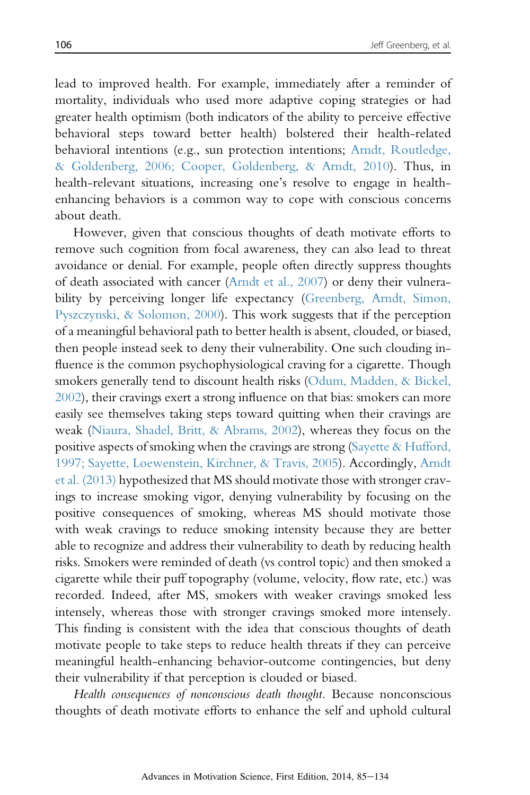lead to improved health. For example, immediately after a reminder of mortality, individuals who used more adaptive coping strategies or had greater health optimism (both indicators of the ability to perceive effective behavioral steps toward better health) bolstered their health-related behavioral intentions (e.g., sun protection intentions; Arndt, Routledge, & Goldenberg, 2006; Cooper, Goldenberg, & Arndt, 2010). Thus, in health-relevant situations, increasing one's resolve to engage in healthenhancing behaviors is a common way to cope with conscious concerns about death.

However, given that conscious thoughts of death motivate efforts to remove such cognition from focal awareness, they can also lead to threat avoidance or denial. For example, people often directly suppress thoughts of death associated with cancer (Arndt et al., 2007) or deny their vulnerability by perceiving longer life expectancy (Greenberg, Arndt, Simon, Pyszczynski, & Solomon, 2000). This work suggests that if the perception of a meaningful behavioral path to better health is absent, clouded, or biased, then people instead seek to deny their vulnerability. One such clouding influence is the common psychophysiological craving for a cigarette. Though smokers generally tend to discount health risks (Odum, Madden, & Bickel, 2002), their cravings exert a strong influence on that bias: smokers can more easily see themselves taking steps toward quitting when their cravings are weak (Niaura, Shadel, Britt, & Abrams, 2002), whereas they focus on the positive aspects of smoking when the cravings are strong (Sayette & Hufford, 1997; Sayette, Loewenstein, Kirchner, & Travis, 2005). Accordingly, Arndt et al. (2013) hypothesized that MS should motivate those with stronger cravings to increase smoking vigor, denying vulnerability by focusing on the positive consequences of smoking, whereas MS should motivate those with weak cravings to reduce smoking intensity because they are better able to recognize and address their vulnerability to death by reducing health risks. Smokers were reminded of death (vs control topic) and then smoked a cigarette while their puff topography (volume, velocity, flow rate, etc.) was recorded. Indeed, after MS, smokers with weaker cravings smoked less intensely, whereas those with stronger cravings smoked more intensely. This finding is consistent with the idea that conscious thoughts of death motivate people to take steps to reduce health threats if they can perceive meaningful health-enhancing behavior-outcome contingencies, but deny their vulnerability if that perception is clouded or biased.

Health consequences of nonconscious death thought. Because nonconscious thoughts of death motivate efforts to enhance the self and uphold cultural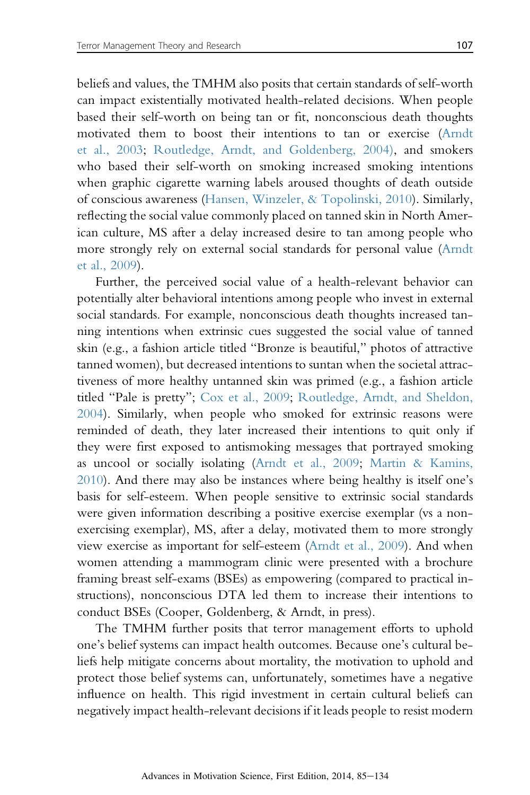beliefs and values, the TMHM also posits that certain standards of self-worth can impact existentially motivated health-related decisions. When people based their self-worth on being tan or fit, nonconscious death thoughts motivated them to boost their intentions to tan or exercise (Arndt et al., 2003; Routledge, Arndt, and Goldenberg, 2004), and smokers who based their self-worth on smoking increased smoking intentions when graphic cigarette warning labels aroused thoughts of death outside of conscious awareness (Hansen, Winzeler, & Topolinski, 2010). Similarly, reflecting the social value commonly placed on tanned skin in North American culture, MS after a delay increased desire to tan among people who more strongly rely on external social standards for personal value (Arndt et al., 2009).

Further, the perceived social value of a health-relevant behavior can potentially alter behavioral intentions among people who invest in external social standards. For example, nonconscious death thoughts increased tanning intentions when extrinsic cues suggested the social value of tanned skin (e.g., a fashion article titled "Bronze is beautiful," photos of attractive tanned women), but decreased intentions to suntan when the societal attractiveness of more healthy untanned skin was primed (e.g., a fashion article titled "Pale is pretty"; Cox et al., 2009; Routledge, Arndt, and Sheldon, 2004). Similarly, when people who smoked for extrinsic reasons were reminded of death, they later increased their intentions to quit only if they were first exposed to antismoking messages that portrayed smoking as uncool or socially isolating (Arndt et al., 2009; Martin & Kamins, 2010). And there may also be instances where being healthy is itself one's basis for self-esteem. When people sensitive to extrinsic social standards were given information describing a positive exercise exemplar (vs a nonexercising exemplar), MS, after a delay, motivated them to more strongly view exercise as important for self-esteem (Arndt et al., 2009). And when women attending a mammogram clinic were presented with a brochure framing breast self-exams (BSEs) as empowering (compared to practical instructions), nonconscious DTA led them to increase their intentions to conduct BSEs (Cooper, Goldenberg, & Arndt, in press).

The TMHM further posits that terror management efforts to uphold one's belief systems can impact health outcomes. Because one's cultural beliefs help mitigate concerns about mortality, the motivation to uphold and protect those belief systems can, unfortunately, sometimes have a negative influence on health. This rigid investment in certain cultural beliefs can negatively impact health-relevant decisions if it leads people to resist modern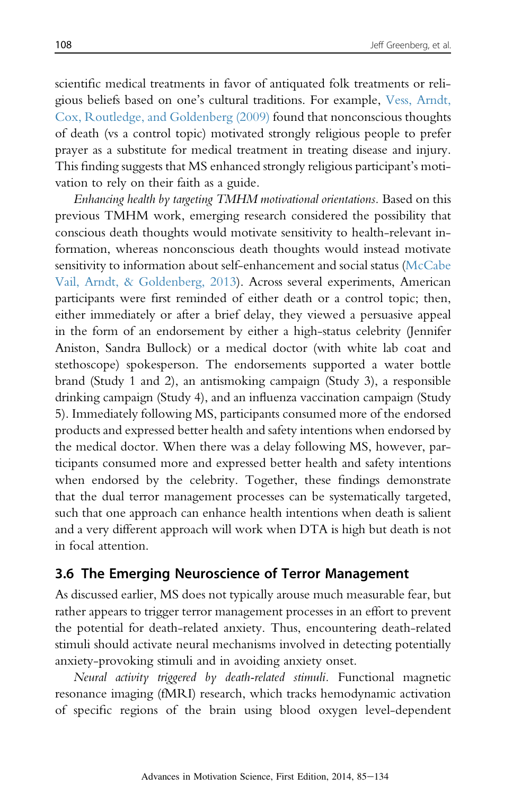scientific medical treatments in favor of antiquated folk treatments or religious beliefs based on one's cultural traditions. For example, Vess, Arndt, Cox, Routledge, and Goldenberg (2009) found that nonconscious thoughts of death (vs a control topic) motivated strongly religious people to prefer prayer as a substitute for medical treatment in treating disease and injury. This finding suggests that MS enhanced strongly religious participant's motivation to rely on their faith as a guide.

Enhancing health by targeting TMHM motivational orientations. Based on this previous TMHM work, emerging research considered the possibility that conscious death thoughts would motivate sensitivity to health-relevant information, whereas nonconscious death thoughts would instead motivate sensitivity to information about self-enhancement and social status (McCabe Vail, Arndt, & Goldenberg, 2013). Across several experiments, American participants were first reminded of either death or a control topic; then, either immediately or after a brief delay, they viewed a persuasive appeal in the form of an endorsement by either a high-status celebrity (Jennifer Aniston, Sandra Bullock) or a medical doctor (with white lab coat and stethoscope) spokesperson. The endorsements supported a water bottle brand (Study 1 and 2), an antismoking campaign (Study 3), a responsible drinking campaign (Study 4), and an influenza vaccination campaign (Study 5). Immediately following MS, participants consumed more of the endorsed products and expressed better health and safety intentions when endorsed by the medical doctor. When there was a delay following MS, however, participants consumed more and expressed better health and safety intentions when endorsed by the celebrity. Together, these findings demonstrate that the dual terror management processes can be systematically targeted, such that one approach can enhance health intentions when death is salient and a very different approach will work when DTA is high but death is not in focal attention.

## 3.6 The Emerging Neuroscience of Terror Management

As discussed earlier, MS does not typically arouse much measurable fear, but rather appears to trigger terror management processes in an effort to prevent the potential for death-related anxiety. Thus, encountering death-related stimuli should activate neural mechanisms involved in detecting potentially anxiety-provoking stimuli and in avoiding anxiety onset.

Neural activity triggered by death-related stimuli. Functional magnetic resonance imaging (fMRI) research, which tracks hemodynamic activation of specific regions of the brain using blood oxygen level-dependent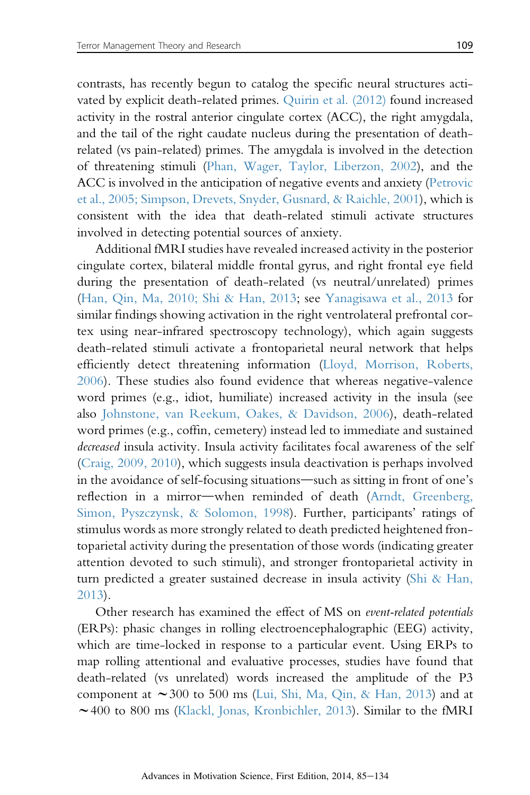contrasts, has recently begun to catalog the specific neural structures activated by explicit death-related primes. Quirin et al. (2012) found increased activity in the rostral anterior cingulate cortex (ACC), the right amygdala, and the tail of the right caudate nucleus during the presentation of deathrelated (vs pain-related) primes. The amygdala is involved in the detection of threatening stimuli (Phan, Wager, Taylor, Liberzon, 2002), and the ACC is involved in the anticipation of negative events and anxiety (Petrovic et al., 2005; Simpson, Drevets, Snyder, Gusnard, & Raichle, 2001), which is consistent with the idea that death-related stimuli activate structures involved in detecting potential sources of anxiety.

Additional fMRI studies have revealed increased activity in the posterior cingulate cortex, bilateral middle frontal gyrus, and right frontal eye field during the presentation of death-related (vs neutral/unrelated) primes (Han, Qin, Ma, 2010; Shi & Han, 2013; see Yanagisawa et al., 2013 for similar findings showing activation in the right ventrolateral prefrontal cortex using near-infrared spectroscopy technology), which again suggests death-related stimuli activate a frontoparietal neural network that helps efficiently detect threatening information (Lloyd, Morrison, Roberts, 2006). These studies also found evidence that whereas negative-valence word primes (e.g., idiot, humiliate) increased activity in the insula (see also Johnstone, van Reekum, Oakes, & Davidson, 2006), death-related word primes (e.g., coffin, cemetery) instead led to immediate and sustained decreased insula activity. Insula activity facilitates focal awareness of the self (Craig, 2009, 2010), which suggests insula deactivation is perhaps involved in the avoidance of self-focusing situations—such as sitting in front of one's reflection in a mirror-when reminded of death (Arndt, Greenberg, Simon, Pyszczynsk, & Solomon, 1998). Further, participants' ratings of stimulus words as more strongly related to death predicted heightened frontoparietal activity during the presentation of those words (indicating greater attention devoted to such stimuli), and stronger frontoparietal activity in turn predicted a greater sustained decrease in insula activity (Shi & Han, 2013).

Other research has examined the effect of MS on event-related potentials (ERPs): phasic changes in rolling electroencephalographic (EEG) activity, which are time-locked in response to a particular event. Using ERPs to map rolling attentional and evaluative processes, studies have found that death-related (vs unrelated) words increased the amplitude of the P3 component at  $\sim$ 300 to 500 ms (Lui, Shi, Ma, Qin, & Han, 2013) and at  $\sim$  400 to 800 ms (Klackl, Jonas, Kronbichler, 2013). Similar to the fMRI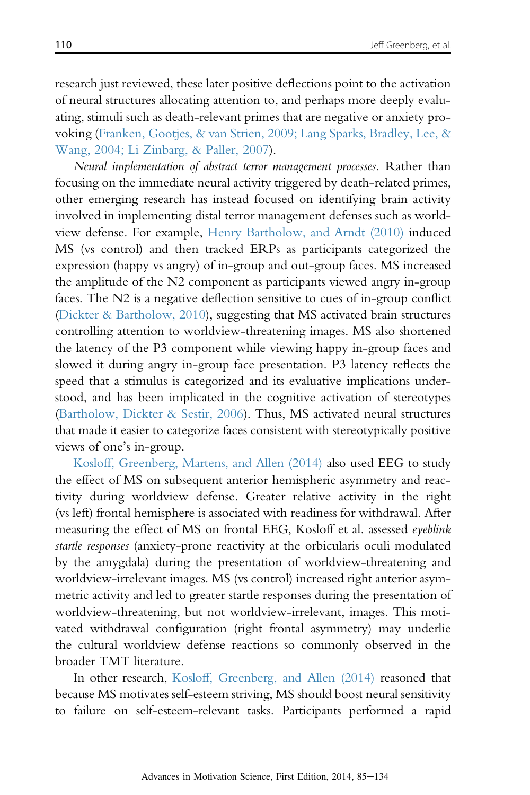research just reviewed, these later positive deflections point to the activation of neural structures allocating attention to, and perhaps more deeply evaluating, stimuli such as death-relevant primes that are negative or anxiety provoking (Franken, Gootjes, & van Strien, 2009; Lang Sparks, Bradley, Lee, & Wang, 2004; Li Zinbarg, & Paller, 2007).

Neural implementation of abstract terror management processes. Rather than focusing on the immediate neural activity triggered by death-related primes, other emerging research has instead focused on identifying brain activity involved in implementing distal terror management defenses such as worldview defense. For example, Henry Bartholow, and Arndt (2010) induced MS (vs control) and then tracked ERPs as participants categorized the expression (happy vs angry) of in-group and out-group faces. MS increased the amplitude of the N2 component as participants viewed angry in-group faces. The N2 is a negative deflection sensitive to cues of in-group conflict (Dickter & Bartholow, 2010), suggesting that MS activated brain structures controlling attention to worldview-threatening images. MS also shortened the latency of the P3 component while viewing happy in-group faces and slowed it during angry in-group face presentation. P3 latency reflects the speed that a stimulus is categorized and its evaluative implications understood, and has been implicated in the cognitive activation of stereotypes (Bartholow, Dickter & Sestir, 2006). Thus, MS activated neural structures that made it easier to categorize faces consistent with stereotypically positive views of one's in-group.

Kosloff, Greenberg, Martens, and Allen (2014) also used EEG to study the effect of MS on subsequent anterior hemispheric asymmetry and reactivity during worldview defense. Greater relative activity in the right (vs left) frontal hemisphere is associated with readiness for withdrawal. After measuring the effect of MS on frontal EEG, Kosloff et al. assessed eyeblink startle responses (anxiety-prone reactivity at the orbicularis oculi modulated by the amygdala) during the presentation of worldview-threatening and worldview-irrelevant images. MS (vs control) increased right anterior asymmetric activity and led to greater startle responses during the presentation of worldview-threatening, but not worldview-irrelevant, images. This motivated withdrawal configuration (right frontal asymmetry) may underlie the cultural worldview defense reactions so commonly observed in the broader TMT literature.

In other research, Kosloff, Greenberg, and Allen (2014) reasoned that because MS motivates self-esteem striving, MS should boost neural sensitivity to failure on self-esteem-relevant tasks. Participants performed a rapid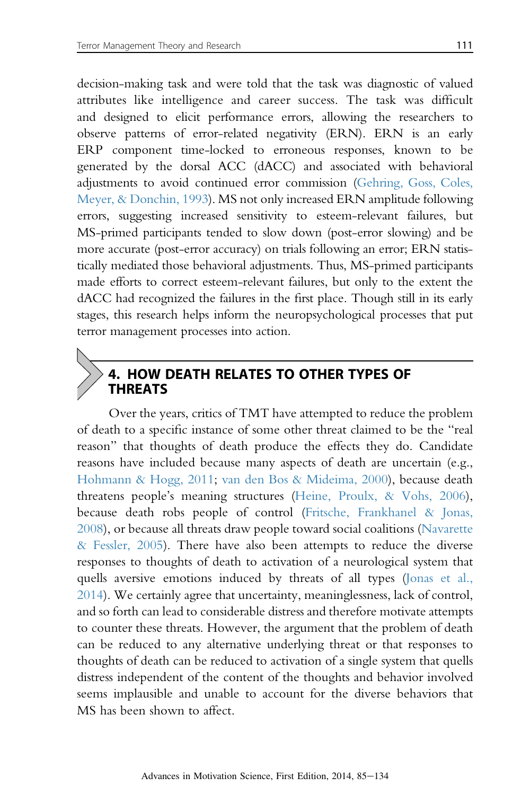decision-making task and were told that the task was diagnostic of valued attributes like intelligence and career success. The task was difficult and designed to elicit performance errors, allowing the researchers to observe patterns of error-related negativity (ERN). ERN is an early ERP component time-locked to erroneous responses, known to be generated by the dorsal ACC (dACC) and associated with behavioral adjustments to avoid continued error commission (Gehring, Goss, Coles, Meyer, & Donchin, 1993). MS not only increased ERN amplitude following errors, suggesting increased sensitivity to esteem-relevant failures, but MS-primed participants tended to slow down (post-error slowing) and be more accurate (post-error accuracy) on trials following an error; ERN statistically mediated those behavioral adjustments. Thus, MS-primed participants made efforts to correct esteem-relevant failures, but only to the extent the dACC had recognized the failures in the first place. Though still in its early stages, this research helps inform the neuropsychological processes that put terror management processes into action.

# 4. HOW DEATH RELATES TO OTHER TYPES OF THREATS

Over the years, critics of TMT have attempted to reduce the problem of death to a specific instance of some other threat claimed to be the "real reason" that thoughts of death produce the effects they do. Candidate reasons have included because many aspects of death are uncertain (e.g., Hohmann & Hogg, 2011; van den Bos & Mideima, 2000), because death threatens people's meaning structures (Heine, Proulx, & Vohs, 2006), because death robs people of control (Fritsche, Frankhanel & Jonas, 2008), or because all threats draw people toward social coalitions (Navarette & Fessler, 2005). There have also been attempts to reduce the diverse responses to thoughts of death to activation of a neurological system that quells aversive emotions induced by threats of all types (Jonas et al., 2014). We certainly agree that uncertainty, meaninglessness, lack of control, and so forth can lead to considerable distress and therefore motivate attempts to counter these threats. However, the argument that the problem of death can be reduced to any alternative underlying threat or that responses to thoughts of death can be reduced to activation of a single system that quells distress independent of the content of the thoughts and behavior involved seems implausible and unable to account for the diverse behaviors that MS has been shown to affect.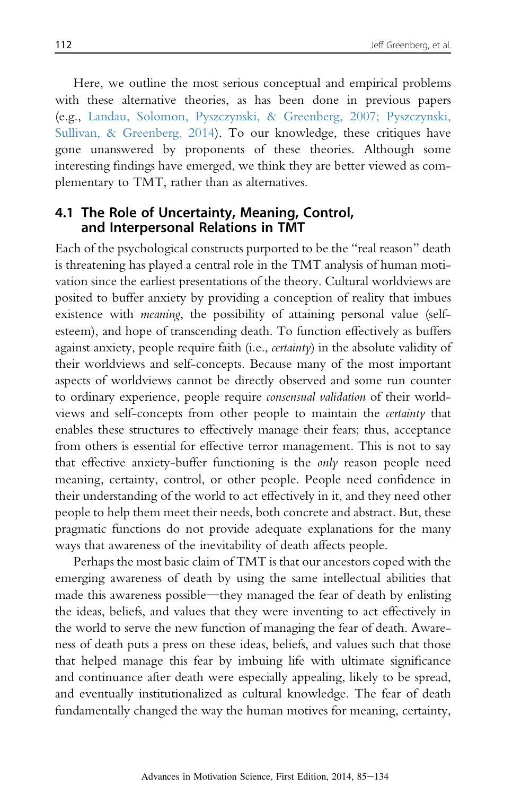Here, we outline the most serious conceptual and empirical problems with these alternative theories, as has been done in previous papers (e.g., Landau, Solomon, Pyszczynski, & Greenberg, 2007; Pyszczynski, Sullivan, & Greenberg, 2014). To our knowledge, these critiques have gone unanswered by proponents of these theories. Although some interesting findings have emerged, we think they are better viewed as complementary to TMT, rather than as alternatives.

#### 4.1 The Role of Uncertainty, Meaning, Control, and Interpersonal Relations in TMT

Each of the psychological constructs purported to be the "real reason" death is threatening has played a central role in the TMT analysis of human motivation since the earliest presentations of the theory. Cultural worldviews are posited to buffer anxiety by providing a conception of reality that imbues existence with *meaning*, the possibility of attaining personal value (selfesteem), and hope of transcending death. To function effectively as buffers against anxiety, people require faith (i.e., *certainty*) in the absolute validity of their worldviews and self-concepts. Because many of the most important aspects of worldviews cannot be directly observed and some run counter to ordinary experience, people require consensual validation of their worldviews and self-concepts from other people to maintain the certainty that enables these structures to effectively manage their fears; thus, acceptance from others is essential for effective terror management. This is not to say that effective anxiety-buffer functioning is the only reason people need meaning, certainty, control, or other people. People need confidence in their understanding of the world to act effectively in it, and they need other people to help them meet their needs, both concrete and abstract. But, these pragmatic functions do not provide adequate explanations for the many ways that awareness of the inevitability of death affects people.

Perhaps the most basic claim of TMT is that our ancestors coped with the emerging awareness of death by using the same intellectual abilities that made this awareness possible—they managed the fear of death by enlisting the ideas, beliefs, and values that they were inventing to act effectively in the world to serve the new function of managing the fear of death. Awareness of death puts a press on these ideas, beliefs, and values such that those that helped manage this fear by imbuing life with ultimate significance and continuance after death were especially appealing, likely to be spread, and eventually institutionalized as cultural knowledge. The fear of death fundamentally changed the way the human motives for meaning, certainty,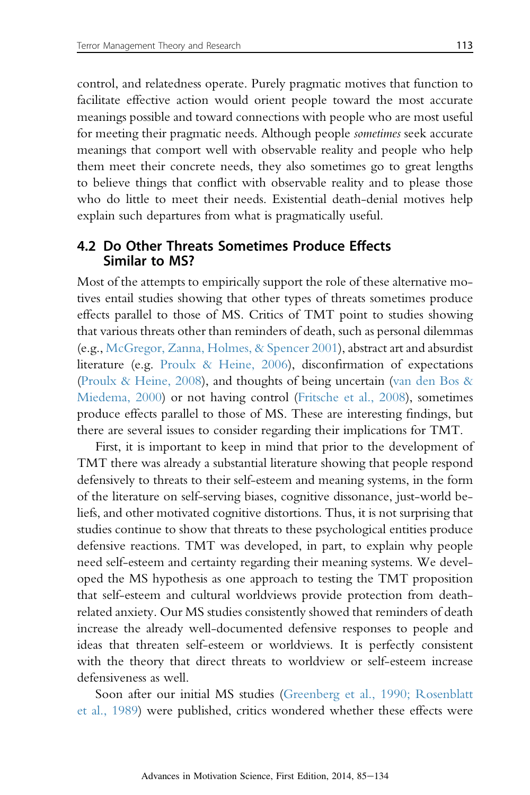control, and relatedness operate. Purely pragmatic motives that function to facilitate effective action would orient people toward the most accurate meanings possible and toward connections with people who are most useful for meeting their pragmatic needs. Although people sometimes seek accurate meanings that comport well with observable reality and people who help them meet their concrete needs, they also sometimes go to great lengths to believe things that conflict with observable reality and to please those who do little to meet their needs. Existential death-denial motives help explain such departures from what is pragmatically useful.

#### 4.2 Do Other Threats Sometimes Produce Effects Similar to MS?

Most of the attempts to empirically support the role of these alternative motives entail studies showing that other types of threats sometimes produce effects parallel to those of MS. Critics of TMT point to studies showing that various threats other than reminders of death, such as personal dilemmas (e.g., McGregor, Zanna, Holmes, & Spencer 2001), abstract art and absurdist literature (e.g. Proulx & Heine, 2006), disconfirmation of expectations (Proulx & Heine, 2008), and thoughts of being uncertain (van den Bos  $\&$ Miedema, 2000) or not having control (Fritsche et al., 2008), sometimes produce effects parallel to those of MS. These are interesting findings, but there are several issues to consider regarding their implications for TMT.

First, it is important to keep in mind that prior to the development of TMT there was already a substantial literature showing that people respond defensively to threats to their self-esteem and meaning systems, in the form of the literature on self-serving biases, cognitive dissonance, just-world beliefs, and other motivated cognitive distortions. Thus, it is not surprising that studies continue to show that threats to these psychological entities produce defensive reactions. TMT was developed, in part, to explain why people need self-esteem and certainty regarding their meaning systems. We developed the MS hypothesis as one approach to testing the TMT proposition that self-esteem and cultural worldviews provide protection from deathrelated anxiety. Our MS studies consistently showed that reminders of death increase the already well-documented defensive responses to people and ideas that threaten self-esteem or worldviews. It is perfectly consistent with the theory that direct threats to worldview or self-esteem increase defensiveness as well.

Soon after our initial MS studies (Greenberg et al., 1990; Rosenblatt et al., 1989) were published, critics wondered whether these effects were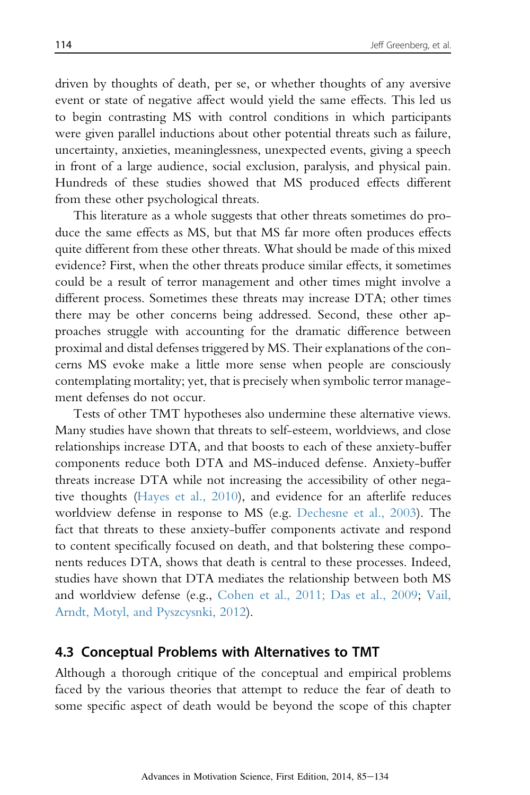driven by thoughts of death, per se, or whether thoughts of any aversive event or state of negative affect would yield the same effects. This led us to begin contrasting MS with control conditions in which participants were given parallel inductions about other potential threats such as failure, uncertainty, anxieties, meaninglessness, unexpected events, giving a speech in front of a large audience, social exclusion, paralysis, and physical pain. Hundreds of these studies showed that MS produced effects different from these other psychological threats.

This literature as a whole suggests that other threats sometimes do produce the same effects as MS, but that MS far more often produces effects quite different from these other threats. What should be made of this mixed evidence? First, when the other threats produce similar effects, it sometimes could be a result of terror management and other times might involve a different process. Sometimes these threats may increase DTA; other times there may be other concerns being addressed. Second, these other approaches struggle with accounting for the dramatic difference between proximal and distal defenses triggered by MS. Their explanations of the concerns MS evoke make a little more sense when people are consciously contemplating mortality; yet, that is precisely when symbolic terror management defenses do not occur.

Tests of other TMT hypotheses also undermine these alternative views. Many studies have shown that threats to self-esteem, worldviews, and close relationships increase DTA, and that boosts to each of these anxiety-buffer components reduce both DTA and MS-induced defense. Anxiety-buffer threats increase DTA while not increasing the accessibility of other negative thoughts (Hayes et al., 2010), and evidence for an afterlife reduces worldview defense in response to MS (e.g. Dechesne et al., 2003). The fact that threats to these anxiety-buffer components activate and respond to content specifically focused on death, and that bolstering these components reduces DTA, shows that death is central to these processes. Indeed, studies have shown that DTA mediates the relationship between both MS and worldview defense (e.g., Cohen et al., 2011; Das et al., 2009; Vail, Arndt, Motyl, and Pyszcysnki, 2012).

#### 4.3 Conceptual Problems with Alternatives to TMT

Although a thorough critique of the conceptual and empirical problems faced by the various theories that attempt to reduce the fear of death to some specific aspect of death would be beyond the scope of this chapter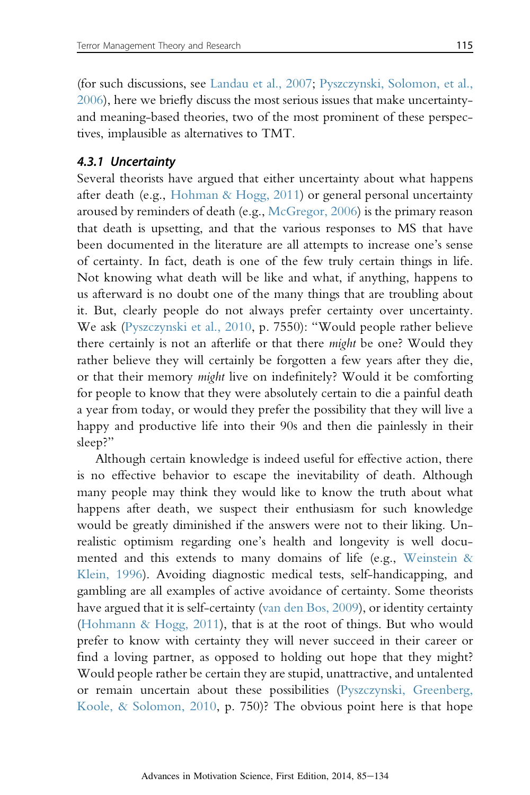(for such discussions, see Landau et al., 2007; Pyszczynski, Solomon, et al., 2006), here we briefly discuss the most serious issues that make uncertaintyand meaning-based theories, two of the most prominent of these perspectives, implausible as alternatives to TMT.

Several theorists have argued that either uncertainty about what happens after death (e.g., Hohman & Hogg, 2011) or general personal uncertainty aroused by reminders of death (e.g., McGregor, 2006) is the primary reason that death is upsetting, and that the various responses to MS that have been documented in the literature are all attempts to increase one's sense of certainty. In fact, death is one of the few truly certain things in life. Not knowing what death will be like and what, if anything, happens to us afterward is no doubt one of the many things that are troubling about it. But, clearly people do not always prefer certainty over uncertainty. We ask (Pyszczynski et al., 2010, p. 7550): "Would people rather believe there certainly is not an afterlife or that there might be one? Would they rather believe they will certainly be forgotten a few years after they die, or that their memory might live on indefinitely? Would it be comforting for people to know that they were absolutely certain to die a painful death a year from today, or would they prefer the possibility that they will live a happy and productive life into their 90s and then die painlessly in their sleep?"

Although certain knowledge is indeed useful for effective action, there is no effective behavior to escape the inevitability of death. Although many people may think they would like to know the truth about what happens after death, we suspect their enthusiasm for such knowledge would be greatly diminished if the answers were not to their liking. Unrealistic optimism regarding one's health and longevity is well documented and this extends to many domains of life (e.g., Weinstein & Klein, 1996). Avoiding diagnostic medical tests, self-handicapping, and gambling are all examples of active avoidance of certainty. Some theorists have argued that it is self-certainty (van den Bos, 2009), or identity certainty (Hohmann & Hogg, 2011), that is at the root of things. But who would prefer to know with certainty they will never succeed in their career or find a loving partner, as opposed to holding out hope that they might? Would people rather be certain they are stupid, unattractive, and untalented or remain uncertain about these possibilities (Pyszczynski, Greenberg, Koole, & Solomon, 2010, p. 750)? The obvious point here is that hope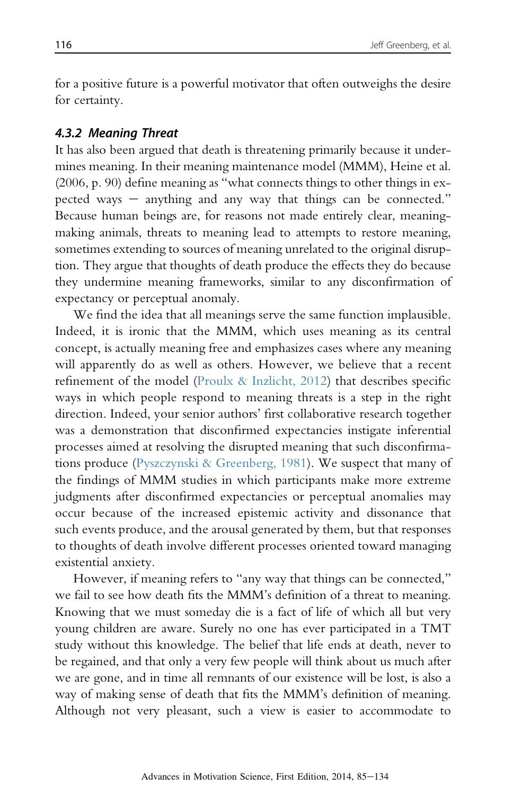for a positive future is a powerful motivator that often outweighs the desire for certainty.

It has also been argued that death is threatening primarily because it undermines meaning. In their meaning maintenance model (MMM), Heine et al. (2006, p. 90) define meaning as "what connects things to other things in expected ways  $-$  anything and any way that things can be connected." Because human beings are, for reasons not made entirely clear, meaningmaking animals, threats to meaning lead to attempts to restore meaning, sometimes extending to sources of meaning unrelated to the original disruption. They argue that thoughts of death produce the effects they do because they undermine meaning frameworks, similar to any disconfirmation of expectancy or perceptual anomaly.

We find the idea that all meanings serve the same function implausible. Indeed, it is ironic that the MMM, which uses meaning as its central concept, is actually meaning free and emphasizes cases where any meaning will apparently do as well as others. However, we believe that a recent refinement of the model (Proulx & Inzlicht, 2012) that describes specific ways in which people respond to meaning threats is a step in the right direction. Indeed, your senior authors' first collaborative research together was a demonstration that disconfirmed expectancies instigate inferential processes aimed at resolving the disrupted meaning that such disconfirmations produce (Pyszczynski & Greenberg, 1981). We suspect that many of the findings of MMM studies in which participants make more extreme judgments after disconfirmed expectancies or perceptual anomalies may occur because of the increased epistemic activity and dissonance that such events produce, and the arousal generated by them, but that responses to thoughts of death involve different processes oriented toward managing existential anxiety.

However, if meaning refers to "any way that things can be connected," we fail to see how death fits the MMM's definition of a threat to meaning. Knowing that we must someday die is a fact of life of which all but very young children are aware. Surely no one has ever participated in a TMT study without this knowledge. The belief that life ends at death, never to be regained, and that only a very few people will think about us much after we are gone, and in time all remnants of our existence will be lost, is also a way of making sense of death that fits the MMM's definition of meaning. Although not very pleasant, such a view is easier to accommodate to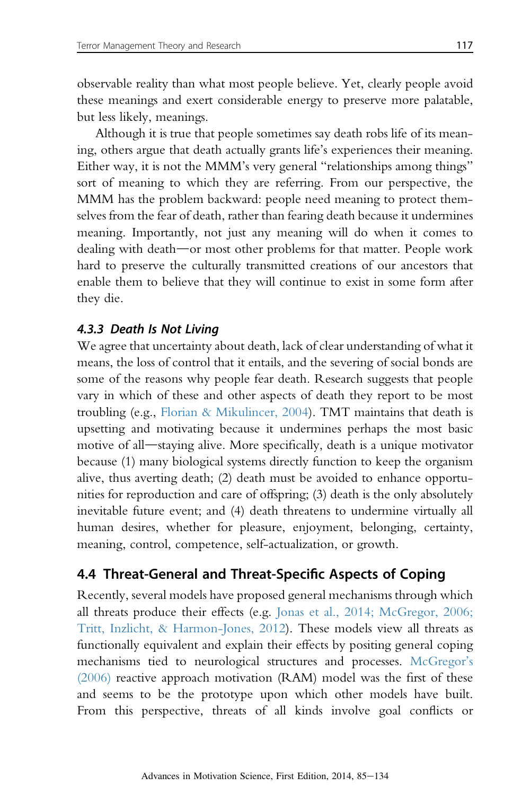observable reality than what most people believe. Yet, clearly people avoid these meanings and exert considerable energy to preserve more palatable, but less likely, meanings.

Although it is true that people sometimes say death robs life of its meaning, others argue that death actually grants life's experiences their meaning. Either way, it is not the MMM's very general "relationships among things" sort of meaning to which they are referring. From our perspective, the MMM has the problem backward: people need meaning to protect themselves from the fear of death, rather than fearing death because it undermines meaning. Importantly, not just any meaning will do when it comes to dealing with death—or most other problems for that matter. People work hard to preserve the culturally transmitted creations of our ancestors that enable them to believe that they will continue to exist in some form after they die.

We agree that uncertainty about death, lack of clear understanding of what it means, the loss of control that it entails, and the severing of social bonds are some of the reasons why people fear death. Research suggests that people vary in which of these and other aspects of death they report to be most troubling (e.g., Florian & Mikulincer, 2004). TMT maintains that death is upsetting and motivating because it undermines perhaps the most basic motive of all—staying alive. More specifically, death is a unique motivator because (1) many biological systems directly function to keep the organism alive, thus averting death; (2) death must be avoided to enhance opportunities for reproduction and care of offspring; (3) death is the only absolutely inevitable future event; and (4) death threatens to undermine virtually all human desires, whether for pleasure, enjoyment, belonging, certainty, meaning, control, competence, self-actualization, or growth.

### 4.4 Threat-General and Threat-Specific Aspects of Coping

Recently, several models have proposed general mechanisms through which all threats produce their effects (e.g. Jonas et al., 2014; McGregor, 2006; Tritt, Inzlicht, & Harmon-Jones, 2012). These models view all threats as functionally equivalent and explain their effects by positing general coping mechanisms tied to neurological structures and processes. McGregor's (2006) reactive approach motivation (RAM) model was the first of these and seems to be the prototype upon which other models have built. From this perspective, threats of all kinds involve goal conflicts or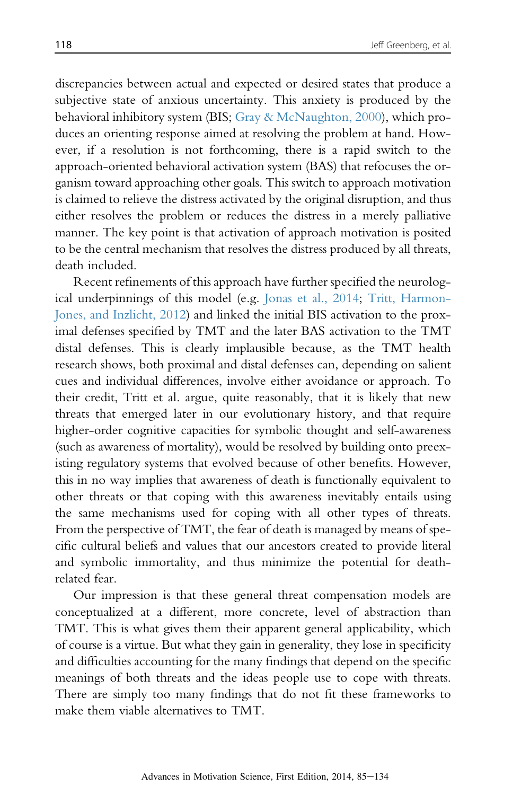discrepancies between actual and expected or desired states that produce a subjective state of anxious uncertainty. This anxiety is produced by the behavioral inhibitory system (BIS; Gray & McNaughton, 2000), which produces an orienting response aimed at resolving the problem at hand. However, if a resolution is not forthcoming, there is a rapid switch to the approach-oriented behavioral activation system (BAS) that refocuses the organism toward approaching other goals. This switch to approach motivation is claimed to relieve the distress activated by the original disruption, and thus either resolves the problem or reduces the distress in a merely palliative manner. The key point is that activation of approach motivation is posited to be the central mechanism that resolves the distress produced by all threats, death included.

Recent refinements of this approach have further specified the neurological underpinnings of this model (e.g. Jonas et al., 2014; Tritt, Harmon-Jones, and Inzlicht, 2012) and linked the initial BIS activation to the proximal defenses specified by TMT and the later BAS activation to the TMT distal defenses. This is clearly implausible because, as the TMT health research shows, both proximal and distal defenses can, depending on salient cues and individual differences, involve either avoidance or approach. To their credit, Tritt et al. argue, quite reasonably, that it is likely that new threats that emerged later in our evolutionary history, and that require higher-order cognitive capacities for symbolic thought and self-awareness (such as awareness of mortality), would be resolved by building onto preexisting regulatory systems that evolved because of other benefits. However, this in no way implies that awareness of death is functionally equivalent to other threats or that coping with this awareness inevitably entails using the same mechanisms used for coping with all other types of threats. From the perspective of TMT, the fear of death is managed by means of specific cultural beliefs and values that our ancestors created to provide literal and symbolic immortality, and thus minimize the potential for deathrelated fear.

Our impression is that these general threat compensation models are conceptualized at a different, more concrete, level of abstraction than TMT. This is what gives them their apparent general applicability, which of course is a virtue. But what they gain in generality, they lose in specificity and difficulties accounting for the many findings that depend on the specific meanings of both threats and the ideas people use to cope with threats. There are simply too many findings that do not fit these frameworks to make them viable alternatives to TMT.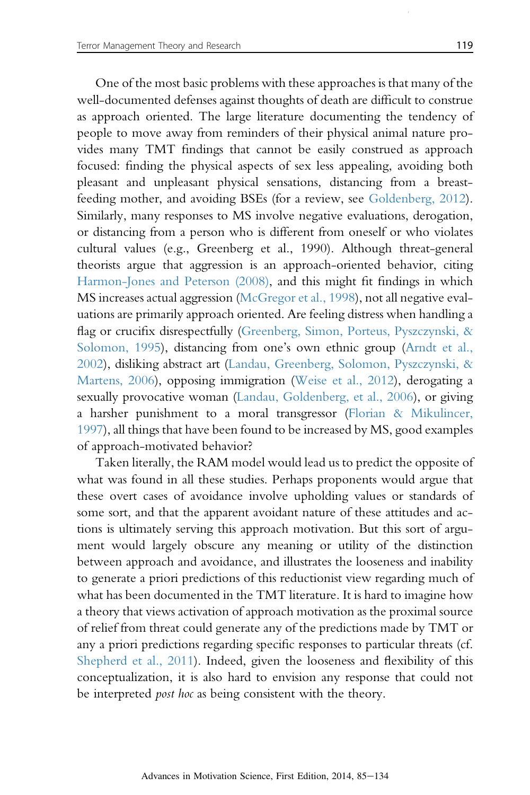One of the most basic problems with these approaches is that many of the well-documented defenses against thoughts of death are difficult to construe as approach oriented. The large literature documenting the tendency of people to move away from reminders of their physical animal nature provides many TMT findings that cannot be easily construed as approach focused: finding the physical aspects of sex less appealing, avoiding both pleasant and unpleasant physical sensations, distancing from a breastfeeding mother, and avoiding BSEs (for a review, see Goldenberg, 2012). Similarly, many responses to MS involve negative evaluations, derogation, or distancing from a person who is different from oneself or who violates cultural values (e.g., Greenberg et al., 1990). Although threat-general theorists argue that aggression is an approach-oriented behavior, citing Harmon-Jones and Peterson (2008), and this might fit findings in which MS increases actual aggression (McGregor et al., 1998), not all negative evaluations are primarily approach oriented. Are feeling distress when handling a flag or crucifix disrespectfully (Greenberg, Simon, Porteus, Pyszczynski, & Solomon, 1995), distancing from one's own ethnic group (Arndt et al., 2002), disliking abstract art (Landau, Greenberg, Solomon, Pyszczynski, & Martens, 2006), opposing immigration (Weise et al., 2012), derogating a sexually provocative woman (Landau, Goldenberg, et al., 2006), or giving a harsher punishment to a moral transgressor (Florian & Mikulincer, 1997), all things that have been found to be increased by MS, good examples of approach-motivated behavior?

Taken literally, the RAM model would lead us to predict the opposite of what was found in all these studies. Perhaps proponents would argue that these overt cases of avoidance involve upholding values or standards of some sort, and that the apparent avoidant nature of these attitudes and actions is ultimately serving this approach motivation. But this sort of argument would largely obscure any meaning or utility of the distinction between approach and avoidance, and illustrates the looseness and inability to generate a priori predictions of this reductionist view regarding much of what has been documented in the TMT literature. It is hard to imagine how a theory that views activation of approach motivation as the proximal source of relief from threat could generate any of the predictions made by TMT or any a priori predictions regarding specific responses to particular threats (cf. Shepherd et al., 2011). Indeed, given the looseness and flexibility of this conceptualization, it is also hard to envision any response that could not be interpreted *post hoc* as being consistent with the theory.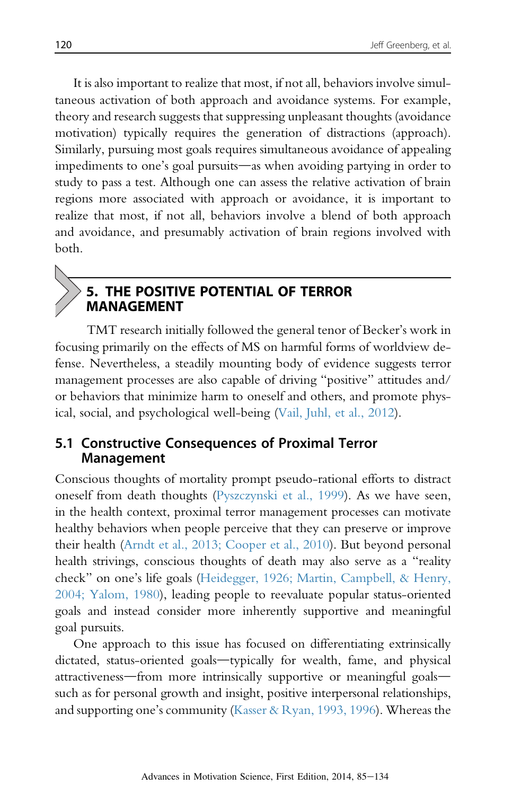It is also important to realize that most, if not all, behaviors involve simultaneous activation of both approach and avoidance systems. For example, theory and research suggests that suppressing unpleasant thoughts (avoidance motivation) typically requires the generation of distractions (approach). Similarly, pursuing most goals requires simultaneous avoidance of appealing impediments to one's goal pursuits—as when avoiding partying in order to study to pass a test. Although one can assess the relative activation of brain regions more associated with approach or avoidance, it is important to realize that most, if not all, behaviors involve a blend of both approach and avoidance, and presumably activation of brain regions involved with both.

# 5. THE POSITIVE POTENTIAL OF TERROR MANAGEMENT

TMT research initially followed the general tenor of Becker's work in focusing primarily on the effects of MS on harmful forms of worldview defense. Nevertheless, a steadily mounting body of evidence suggests terror management processes are also capable of driving "positive" attitudes and/ or behaviors that minimize harm to oneself and others, and promote physical, social, and psychological well-being (Vail, Juhl, et al., 2012).

### 5.1 Constructive Consequences of Proximal Terror Management

Conscious thoughts of mortality prompt pseudo-rational efforts to distract oneself from death thoughts (Pyszczynski et al., 1999). As we have seen, in the health context, proximal terror management processes can motivate healthy behaviors when people perceive that they can preserve or improve their health (Arndt et al., 2013; Cooper et al., 2010). But beyond personal health strivings, conscious thoughts of death may also serve as a "reality check" on one's life goals (Heidegger, 1926; Martin, Campbell, & Henry, 2004; Yalom, 1980), leading people to reevaluate popular status-oriented goals and instead consider more inherently supportive and meaningful goal pursuits.

One approach to this issue has focused on differentiating extrinsically dictated, status-oriented goals—typically for wealth, fame, and physical attractiveness—from more intrinsically supportive or meaningful goals such as for personal growth and insight, positive interpersonal relationships, and supporting one's community (Kasser & Ryan, 1993, 1996). Whereas the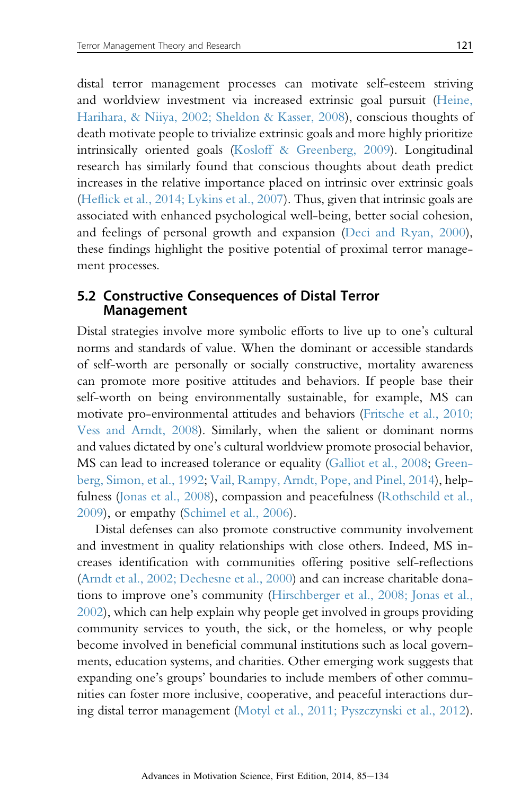distal terror management processes can motivate self-esteem striving and worldview investment via increased extrinsic goal pursuit (Heine, Harihara, & Niiya, 2002; Sheldon & Kasser, 2008), conscious thoughts of death motivate people to trivialize extrinsic goals and more highly prioritize intrinsically oriented goals (Kosloff & Greenberg, 2009). Longitudinal research has similarly found that conscious thoughts about death predict increases in the relative importance placed on intrinsic over extrinsic goals (Heflick et al., 2014; Lykins et al., 2007). Thus, given that intrinsic goals are associated with enhanced psychological well-being, better social cohesion, and feelings of personal growth and expansion (Deci and Ryan, 2000), these findings highlight the positive potential of proximal terror management processes.

#### 5.2 Constructive Consequences of Distal Terror Management

Distal strategies involve more symbolic efforts to live up to one's cultural norms and standards of value. When the dominant or accessible standards of self-worth are personally or socially constructive, mortality awareness can promote more positive attitudes and behaviors. If people base their self-worth on being environmentally sustainable, for example, MS can motivate pro-environmental attitudes and behaviors (Fritsche et al., 2010; Vess and Arndt, 2008). Similarly, when the salient or dominant norms and values dictated by one's cultural worldview promote prosocial behavior, MS can lead to increased tolerance or equality (Galliot et al., 2008; Greenberg, Simon, et al., 1992; Vail, Rampy, Arndt, Pope, and Pinel, 2014), helpfulness (Jonas et al., 2008), compassion and peacefulness (Rothschild et al., 2009), or empathy (Schimel et al., 2006).

Distal defenses can also promote constructive community involvement and investment in quality relationships with close others. Indeed, MS increases identification with communities offering positive self-reflections (Arndt et al., 2002; Dechesne et al., 2000) and can increase charitable donations to improve one's community (Hirschberger et al., 2008; Jonas et al., 2002), which can help explain why people get involved in groups providing community services to youth, the sick, or the homeless, or why people become involved in beneficial communal institutions such as local governments, education systems, and charities. Other emerging work suggests that expanding one's groups' boundaries to include members of other communities can foster more inclusive, cooperative, and peaceful interactions during distal terror management (Motyl et al., 2011; Pyszczynski et al., 2012).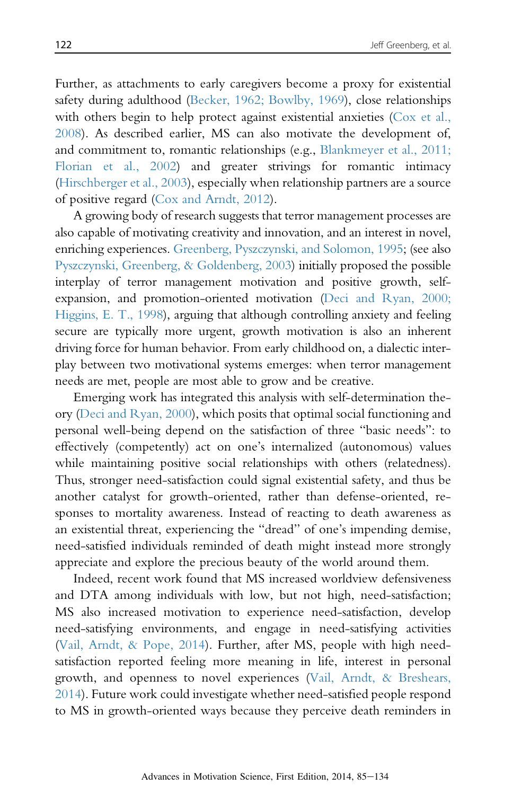Further, as attachments to early caregivers become a proxy for existential safety during adulthood (Becker, 1962; Bowlby, 1969), close relationships with others begin to help protect against existential anxieties (Cox et al., 2008). As described earlier, MS can also motivate the development of, and commitment to, romantic relationships (e.g., Blankmeyer et al., 2011; Florian et al., 2002) and greater strivings for romantic intimacy (Hirschberger et al., 2003), especially when relationship partners are a source of positive regard (Cox and Arndt, 2012).

A growing body of research suggests that terror management processes are also capable of motivating creativity and innovation, and an interest in novel, enriching experiences. Greenberg, Pyszczynski, and Solomon, 1995; (see also Pyszczynski, Greenberg, & Goldenberg, 2003) initially proposed the possible interplay of terror management motivation and positive growth, selfexpansion, and promotion-oriented motivation (Deci and Ryan, 2000; Higgins, E. T., 1998), arguing that although controlling anxiety and feeling secure are typically more urgent, growth motivation is also an inherent driving force for human behavior. From early childhood on, a dialectic interplay between two motivational systems emerges: when terror management needs are met, people are most able to grow and be creative.

Emerging work has integrated this analysis with self-determination theory (Deci and Ryan, 2000), which posits that optimal social functioning and personal well-being depend on the satisfaction of three "basic needs": to effectively (competently) act on one's internalized (autonomous) values while maintaining positive social relationships with others (relatedness). Thus, stronger need-satisfaction could signal existential safety, and thus be another catalyst for growth-oriented, rather than defense-oriented, responses to mortality awareness. Instead of reacting to death awareness as an existential threat, experiencing the "dread" of one's impending demise, need-satisfied individuals reminded of death might instead more strongly appreciate and explore the precious beauty of the world around them.

Indeed, recent work found that MS increased worldview defensiveness and DTA among individuals with low, but not high, need-satisfaction; MS also increased motivation to experience need-satisfaction, develop need-satisfying environments, and engage in need-satisfying activities (Vail, Arndt, & Pope, 2014). Further, after MS, people with high needsatisfaction reported feeling more meaning in life, interest in personal growth, and openness to novel experiences (Vail, Arndt, & Breshears, 2014). Future work could investigate whether need-satisfied people respond to MS in growth-oriented ways because they perceive death reminders in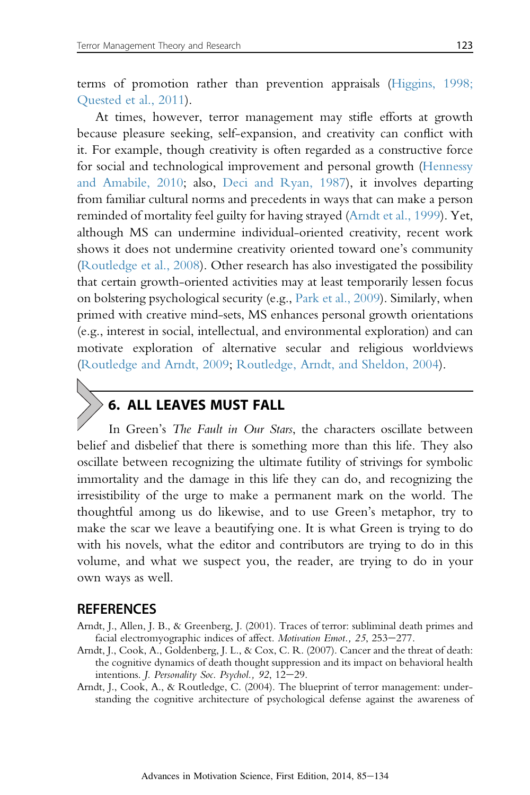terms of promotion rather than prevention appraisals (Higgins, 1998; Quested et al., 2011).

At times, however, terror management may stifle efforts at growth because pleasure seeking, self-expansion, and creativity can conflict with it. For example, though creativity is often regarded as a constructive force for social and technological improvement and personal growth (Hennessy and Amabile, 2010; also, Deci and Ryan, 1987), it involves departing from familiar cultural norms and precedents in ways that can make a person reminded of mortality feel guilty for having strayed (Arndt et al., 1999). Yet, although MS can undermine individual-oriented creativity, recent work shows it does not undermine creativity oriented toward one's community (Routledge et al., 2008). Other research has also investigated the possibility that certain growth-oriented activities may at least temporarily lessen focus on bolstering psychological security (e.g., Park et al., 2009). Similarly, when primed with creative mind-sets, MS enhances personal growth orientations (e.g., interest in social, intellectual, and environmental exploration) and can motivate exploration of alternative secular and religious worldviews (Routledge and Arndt, 2009; Routledge, Arndt, and Sheldon, 2004).

# $\geq$  6. ALL LEAVES MUST FALL

In Green's The Fault in Our Stars, the characters oscillate between belief and disbelief that there is something more than this life. They also oscillate between recognizing the ultimate futility of strivings for symbolic immortality and the damage in this life they can do, and recognizing the irresistibility of the urge to make a permanent mark on the world. The thoughtful among us do likewise, and to use Green's metaphor, try to make the scar we leave a beautifying one. It is what Green is trying to do with his novels, what the editor and contributors are trying to do in this volume, and what we suspect you, the reader, are trying to do in your own ways as well.

#### REFERENCES

- Arndt, J., Allen, J. B., & Greenberg, J. (2001). Traces of terror: subliminal death primes and facial electromyographic indices of affect. Motivation Emot., 25, 253-277.
- Arndt, J., Cook, A., Goldenberg, J. L., & Cox, C. R. (2007). Cancer and the threat of death: the cognitive dynamics of death thought suppression and its impact on behavioral health intentions. *J. Personality Soc. Psychol.*,  $92$ ,  $12-29$ .
- Arndt, J., Cook, A., & Routledge, C. (2004). The blueprint of terror management: understanding the cognitive architecture of psychological defense against the awareness of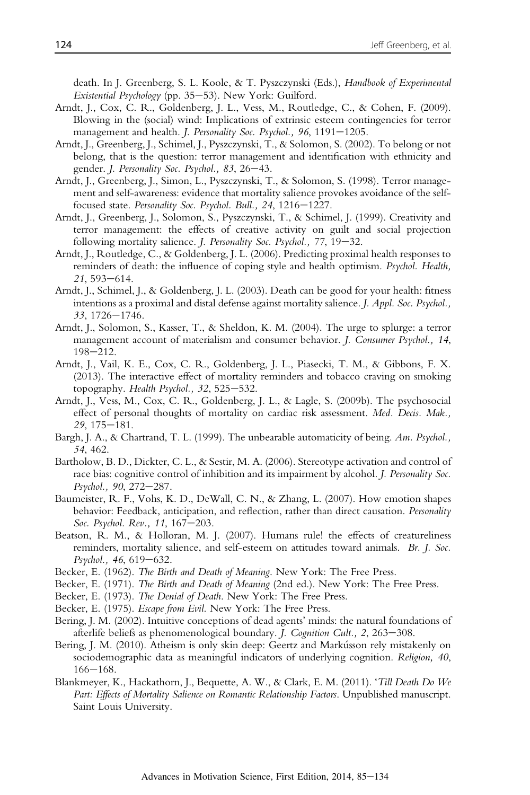death. In J. Greenberg, S. L. Koole, & T. Pyszczynski (Eds.), Handbook of Experimental Existential Psychology (pp. 35-53). New York: Guilford.

- Arndt, J., Cox, C. R., Goldenberg, J. L., Vess, M., Routledge, C., & Cohen, F. (2009). Blowing in the (social) wind: Implications of extrinsic esteem contingencies for terror management and health. J. Personality Soc. Psychol., 96, 1191-1205.
- Arndt, J., Greenberg, J., Schimel, J., Pyszczynski, T., & Solomon, S. (2002). To belong or not belong, that is the question: terror management and identification with ethnicity and gender. J. Personality Soc. Psychol.,  $83, 26 - 43$ .
- Arndt, J., Greenberg, J., Simon, L., Pyszczynski, T., & Solomon, S. (1998). Terror management and self-awareness: evidence that mortality salience provokes avoidance of the selffocused state. Personality Soc. Psychol. Bull., 24, 1216-1227.
- Arndt, J., Greenberg, J., Solomon, S., Pyszczynski, T., & Schimel, J. (1999). Creativity and terror management: the effects of creative activity on guilt and social projection following mortality salience. J. Personality Soc. Psychol., 77, 19-32.
- Arndt, J., Routledge, C., & Goldenberg, J. L. (2006). Predicting proximal health responses to reminders of death: the influence of coping style and health optimism. Psychol. Health,  $21, 593 - 614.$
- Arndt, J., Schimel, J., & Goldenberg, J. L. (2003). Death can be good for your health: fitness intentions as a proximal and distal defense against mortality salience. J. Appl. Soc. Psychol.,  $33, 1726 - 1746.$
- Arndt, J., Solomon, S., Kasser, T., & Sheldon, K. M. (2004). The urge to splurge: a terror management account of materialism and consumer behavior. J. Consumer Psychol., 14, 198-212.
- Arndt, J., Vail, K. E., Cox, C. R., Goldenberg, J. L., Piasecki, T. M., & Gibbons, F. X. (2013). The interactive effect of mortality reminders and tobacco craving on smoking topography. Health Psychol.,  $32$ ,  $525-532$ .
- Arndt, J., Vess, M., Cox, C. R., Goldenberg, J. L., & Lagle, S. (2009b). The psychosocial effect of personal thoughts of mortality on cardiac risk assessment. Med. Decis. Mak.,  $29, 175 - 181.$
- Bargh, J. A., & Chartrand, T. L. (1999). The unbearable automaticity of being. Am. Psychol., 54, 462.
- Bartholow, B. D., Dickter, C. L., & Sestir, M. A. (2006). Stereotype activation and control of race bias: cognitive control of inhibition and its impairment by alcohol. *J. Personality Soc.* Psychol., 90, 272-287.
- Baumeister, R. F., Vohs, K. D., DeWall, C. N., & Zhang, L. (2007). How emotion shapes behavior: Feedback, anticipation, and reflection, rather than direct causation. Personality Soc. Psychol. Rev., 11, 167-203.
- Beatson, R. M., & Holloran, M. J. (2007). Humans rule! the effects of creatureliness reminders, mortality salience, and self-esteem on attitudes toward animals. Br. J. Soc. Psychol., 46, 619-632.
- Becker, E. (1962). The Birth and Death of Meaning. New York: The Free Press.
- Becker, E. (1971). The Birth and Death of Meaning (2nd ed.). New York: The Free Press.
- Becker, E. (1973). The Denial of Death. New York: The Free Press.
- Becker, E. (1975). *Escape from Evil*. New York: The Free Press.
- Bering, J. M. (2002). Intuitive conceptions of dead agents' minds: the natural foundations of afterlife beliefs as phenomenological boundary. J. Cognition Cult.,  $2$ ,  $263-308$ .
- Bering, J. M. (2010). Atheism is only skin deep: Geertz and Markússon rely mistakenly on sociodemographic data as meaningful indicators of underlying cognition. Religion, 40,  $166 - 168.$
- Blankmeyer, K., Hackathorn, J., Bequette, A. W., & Clark, E. M. (2011). 'Till Death Do We Part: Effects of Mortality Salience on Romantic Relationship Factors. Unpublished manuscript. Saint Louis University.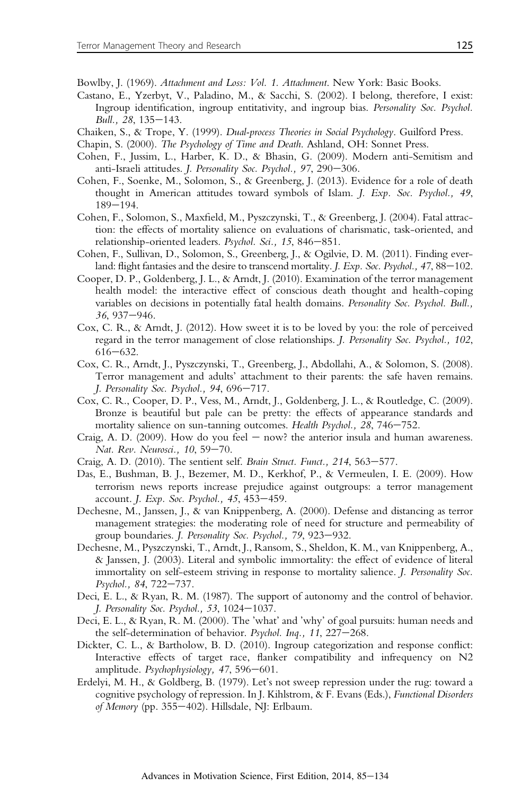- Bowlby, J. (1969). Attachment and Loss: Vol. 1. Attachment. New York: Basic Books.
- Castano, E., Yzerbyt, V., Paladino, M., & Sacchi, S. (2002). I belong, therefore, I exist: Ingroup identification, ingroup entitativity, and ingroup bias. Personality Soc. Psychol. Bull., 28, 135-143.
- Chaiken, S., & Trope, Y. (1999). Dual-process Theories in Social Psychology. Guilford Press.
- Chapin, S. (2000). The Psychology of Time and Death. Ashland, OH: Sonnet Press.
- Cohen, F., Jussim, L., Harber, K. D., & Bhasin, G. (2009). Modern anti-Semitism and anti-Israeli attitudes. J. Personality Soc. Psychol., 97, 290-306.
- Cohen, F., Soenke, M., Solomon, S., & Greenberg, J. (2013). Evidence for a role of death thought in American attitudes toward symbols of Islam. J. Exp. Soc. Psychol., 49, 189-194.
- Cohen, F., Solomon, S., Maxfield, M., Pyszczynski, T., & Greenberg, J. (2004). Fatal attraction: the effects of mortality salience on evaluations of charismatic, task-oriented, and relationship-oriented leaders. Psychol. Sci., 15, 846–851.
- Cohen, F., Sullivan, D., Solomon, S., Greenberg, J., & Ogilvie, D. M. (2011). Finding everland: flight fantasies and the desire to transcend mortality. J. Exp. Soc. Psychol.,  $47,88-102$ .
- Cooper, D. P., Goldenberg, J. L., & Arndt, J. (2010). Examination of the terror management health model: the interactive effect of conscious death thought and health-coping variables on decisions in potentially fatal health domains. Personality Soc. Psychol. Bull.,  $36, 937 - 946.$
- Cox, C. R., & Arndt, J. (2012). How sweet it is to be loved by you: the role of perceived regard in the terror management of close relationships. J. Personality Soc. Psychol., 102,  $616 - 632.$
- Cox, C. R., Arndt, J., Pyszczynski, T., Greenberg, J., Abdollahi, A., & Solomon, S. (2008). Terror management and adults' attachment to their parents: the safe haven remains. J. Personality Soc. Psychol.,  $94,696-717$ .
- Cox, C. R., Cooper, D. P., Vess, M., Arndt, J., Goldenberg, J. L., & Routledge, C. (2009). Bronze is beautiful but pale can be pretty: the effects of appearance standards and mortality salience on sun-tanning outcomes. Health Psychol., 28, 746-752.
- Craig, A. D. (2009). How do you feel  $-$  now? the anterior insula and human awareness. Nat. Rev. Neurosci., 10, 59-70.
- Craig, A. D. (2010). The sentient self. Brain Struct. Funct., 214, 563-577.
- Das, E., Bushman, B. J., Bezemer, M. D., Kerkhof, P., & Vermeulen, I. E. (2009). How terrorism news reports increase prejudice against outgroups: a terror management account. J. Exp. Soc. Psychol., 45, 453-459.
- Dechesne, M., Janssen, J., & van Knippenberg, A. (2000). Defense and distancing as terror management strategies: the moderating role of need for structure and permeability of group boundaries. J. Personality Soc. Psychol., 79, 923-932.
- Dechesne, M., Pyszczynski, T., Arndt, J., Ransom, S., Sheldon, K. M., van Knippenberg, A., & Janssen, J. (2003). Literal and symbolic immortality: the effect of evidence of literal immortality on self-esteem striving in response to mortality salience. J. Personality Soc. Psychol., 84, 722–737.
- Deci, E. L., & Ryan, R. M. (1987). The support of autonomy and the control of behavior. J. Personality Soc. Psychol., 53,  $1024-1037$ .
- Deci, E. L., & Ryan, R. M. (2000). The 'what' and 'why' of goal pursuits: human needs and the self-determination of behavior. Psychol. Inq.,  $11$ ,  $227-268$ .
- Dickter, C. L., & Bartholow, B. D. (2010). Ingroup categorization and response conflict: Interactive effects of target race, flanker compatibility and infrequency on N2 amplitude. Psychophysiology,  $47,596-601$ .
- Erdelyi, M. H., & Goldberg, B. (1979). Let's not sweep repression under the rug: toward a cognitive psychology of repression. In J. Kihlstrom, & F. Evans (Eds.), Functional Disorders of Memory (pp. 355-402). Hillsdale, NJ: Erlbaum.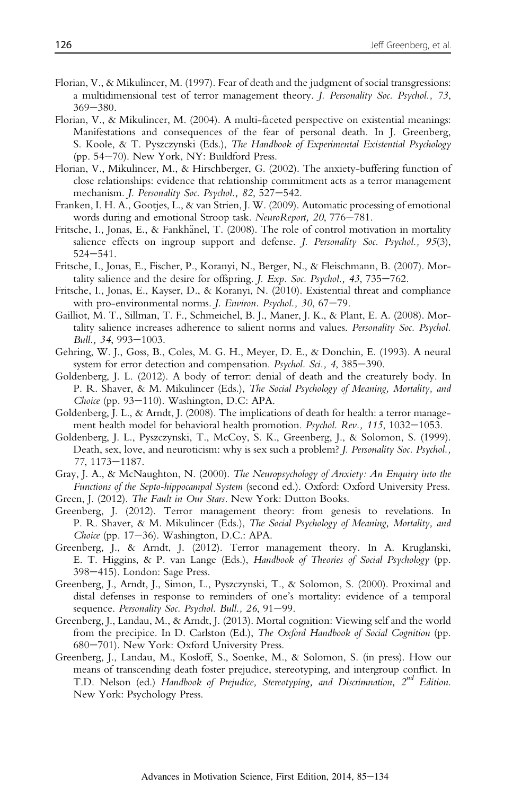- Florian, V., & Mikulincer, M. (1997). Fear of death and the judgment of social transgressions: a multidimensional test of terror management theory. J. Personality Soc. Psychol., 73,  $369 - 380$ .
- Florian, V., & Mikulincer, M. (2004). A multi-faceted perspective on existential meanings: Manifestations and consequences of the fear of personal death. In J. Greenberg, S. Koole, & T. Pyszczynski (Eds.), The Handbook of Experimental Existential Psychology (pp. 54-70). New York, NY: Buildford Press.
- Florian, V., Mikulincer, M., & Hirschberger, G. (2002). The anxiety-buffering function of close relationships: evidence that relationship commitment acts as a terror management mechanism. J. Personality Soc. Psychol., 82, 527-542.
- Franken, I. H. A., Gootjes, L., & van Strien, J. W. (2009). Automatic processing of emotional words during and emotional Stroop task. NeuroReport, 20, 776-781.
- Fritsche, I., Jonas, E., & Fankhänel, T. (2008). The role of control motivation in mortality salience effects on ingroup support and defense. J. Personality Soc. Psychol., 95(3),  $524 - 541.$
- Fritsche, I., Jonas, E., Fischer, P., Koranyi, N., Berger, N., & Fleischmann, B. (2007). Mortality salience and the desire for offspring. J. Exp. Soc. Psychol.,  $43$ ,  $735-762$ .
- Fritsche, I., Jonas, E., Kayser, D., & Koranyi, N. (2010). Existential threat and compliance with pro-environmental norms. J. Environ. Psychol., 30, 67-79.
- Gailliot, M. T., Sillman, T. F., Schmeichel, B. J., Maner, J. K., & Plant, E. A. (2008). Mortality salience increases adherence to salient norms and values. Personality Soc. Psychol. Bull., 34, 993-1003.
- Gehring, W. J., Goss, B., Coles, M. G. H., Meyer, D. E., & Donchin, E. (1993). A neural system for error detection and compensation. Psychol. Sci., 4, 385-390.
- Goldenberg, J. L. (2012). A body of terror: denial of death and the creaturely body. In P. R. Shaver, & M. Mikulincer (Eds.), The Social Psychology of Meaning, Mortality, and Choice (pp. 93-110). Washington, D.C: APA.
- Goldenberg, J. L., & Arndt, J. (2008). The implications of death for health: a terror management health model for behavioral health promotion. *Psychol. Rev.*,  $115$ ,  $1032-1053$ .
- Goldenberg, J. L., Pyszczynski, T., McCoy, S. K., Greenberg, J., & Solomon, S. (1999). Death, sex, love, and neuroticism: why is sex such a problem? *J. Personality Soc. Psychol.*, 77, 1173-1187.
- Gray, J. A., & McNaughton, N. (2000). The Neuropsychology of Anxiety: An Enquiry into the Functions of the Septo-hippocampal System (second ed.). Oxford: Oxford University Press. Green, J. (2012). The Fault in Our Stars. New York: Dutton Books.
- 
- Greenberg, J. (2012). Terror management theory: from genesis to revelations. In P. R. Shaver, & M. Mikulincer (Eds.), The Social Psychology of Meaning, Mortality, and Choice (pp.  $17-36$ ). Washington, D.C.: APA.
- Greenberg, J., & Arndt, J. (2012). Terror management theory. In A. Kruglanski, E. T. Higgins, & P. van Lange (Eds.), Handbook of Theories of Social Psychology (pp. 398-415). London: Sage Press.
- Greenberg, J., Arndt, J., Simon, L., Pyszczynski, T., & Solomon, S. (2000). Proximal and distal defenses in response to reminders of one's mortality: evidence of a temporal sequence. Personality Soc. Psychol. Bull., 26, 91-99.
- Greenberg, J., Landau, M., & Arndt, J. (2013). Mortal cognition: Viewing self and the world from the precipice. In D. Carlston (Ed.), The Oxford Handbook of Social Cognition (pp. 680-701). New York: Oxford University Press.
- Greenberg, J., Landau, M., Kosloff, S., Soenke, M., & Solomon, S. (in press). How our means of transcending death foster prejudice, stereotyping, and intergroup conflict. In T.D. Nelson (ed.) Handbook of Prejudice, Stereotyping, and Discrimnation,  $2^{nd}$  Edition. New York: Psychology Press.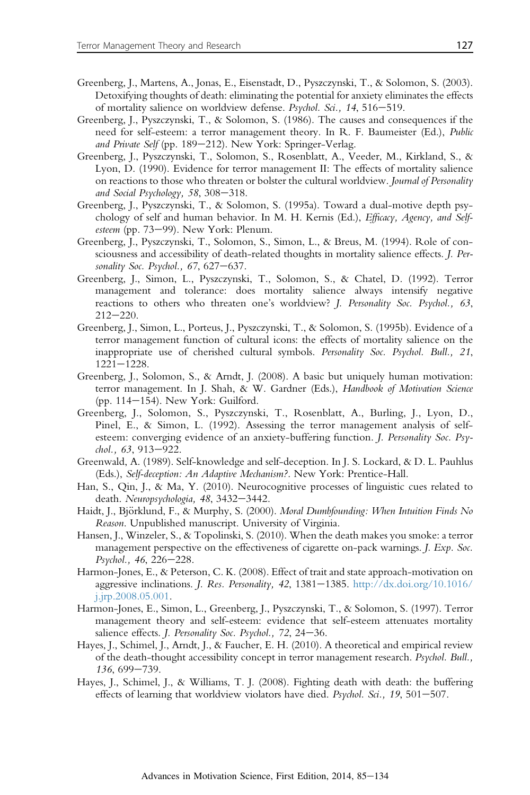- Greenberg, J., Martens, A., Jonas, E., Eisenstadt, D., Pyszczynski, T., & Solomon, S. (2003). Detoxifying thoughts of death: eliminating the potential for anxiety eliminates the effects of mortality salience on worldview defense. Psychol. Sci., 14, 516-519.
- Greenberg, J., Pyszczynski, T., & Solomon, S. (1986). The causes and consequences if the need for self-esteem: a terror management theory. In R. F. Baumeister (Ed.), Public and Private Self (pp. 189-212). New York: Springer-Verlag.
- Greenberg, J., Pyszczynski, T., Solomon, S., Rosenblatt, A., Veeder, M., Kirkland, S., & Lyon, D. (1990). Evidence for terror management II: The effects of mortality salience on reactions to those who threaten or bolster the cultural worldview. Journal of Personality and Social Psychology,  $58$ ,  $308 - 318$ .
- Greenberg, J., Pyszczynski, T., & Solomon, S. (1995a). Toward a dual-motive depth psychology of self and human behavior. In M. H. Kernis (Ed.), Efficacy, Agency, and Selfesteem (pp. 73–99). New York: Plenum.
- Greenberg, J., Pyszczynski, T., Solomon, S., Simon, L., & Breus, M. (1994). Role of consciousness and accessibility of death-related thoughts in mortality salience effects. J. Personality Soc. Psychol.,  $67, 627-637$ .
- Greenberg, J., Simon, L., Pyszczynski, T., Solomon, S., & Chatel, D. (1992). Terror management and tolerance: does mortality salience always intensify negative reactions to others who threaten one's worldview? J. Personality Soc. Psychol., 63,  $212 - 220$ .
- Greenberg, J., Simon, L., Porteus, J., Pyszczynski, T., & Solomon, S. (1995b). Evidence of a terror management function of cultural icons: the effects of mortality salience on the inappropriate use of cherished cultural symbols. Personality Soc. Psychol. Bull., 21,  $1221 - 1228$ .
- Greenberg, J., Solomon, S., & Arndt, J. (2008). A basic but uniquely human motivation: terror management. In J. Shah, & W. Gardner (Eds.), Handbook of Motivation Science (pp.  $114-154$ ). New York: Guilford.
- Greenberg, J., Solomon, S., Pyszczynski, T., Rosenblatt, A., Burling, J., Lyon, D., Pinel, E., & Simon, L. (1992). Assessing the terror management analysis of selfesteem: converging evidence of an anxiety-buffering function. J. Personality Soc. Psychol., 63, 913-922.
- Greenwald, A. (1989). Self-knowledge and self-deception. In J. S. Lockard, & D. L. Pauhlus (Eds.), Self-deception: An Adaptive Mechanism?. New York: Prentice-Hall.
- Han, S., Qin, J., & Ma, Y. (2010). Neurocognitive processes of linguistic cues related to death. Neuropsychologia, 48, 3432-3442.
- Haidt, J., Björklund, F., & Murphy, S. (2000). Moral Dumbfounding: When Intuition Finds No Reason. Unpublished manuscript. University of Virginia.
- Hansen, J., Winzeler, S., & Topolinski, S. (2010). When the death makes you smoke: a terror management perspective on the effectiveness of cigarette on-pack warnings. J. Exp. Soc. Psychol., 46, 226-228.
- Harmon-Jones, E., & Peterson, C. K. (2008). Effect of trait and state approach-motivation on aggressive inclinations. J. Res. Personality,  $42$ ,  $1381-1385$ . [http://dx.doi.org/10.1016/](http://dx.doi.org/10.1016/j.jrp.2008.05.001) [j.jrp.2008.05.001](http://dx.doi.org/10.1016/j.jrp.2008.05.001).
- Harmon-Jones, E., Simon, L., Greenberg, J., Pyszczynski, T., & Solomon, S. (1997). Terror management theory and self-esteem: evidence that self-esteem attenuates mortality salience effects. J. Personality Soc. Psychol., 72, 24–36.
- Hayes, J., Schimel, J., Arndt, J., & Faucher, E. H. (2010). A theoretical and empirical review of the death-thought accessibility concept in terror management research. Psychol. Bull., 136, 699-739.
- Hayes, J., Schimel, J., & Williams, T. J. (2008). Fighting death with death: the buffering effects of learning that worldview violators have died. Psychol. Sci.,  $19$ ,  $501-507$ .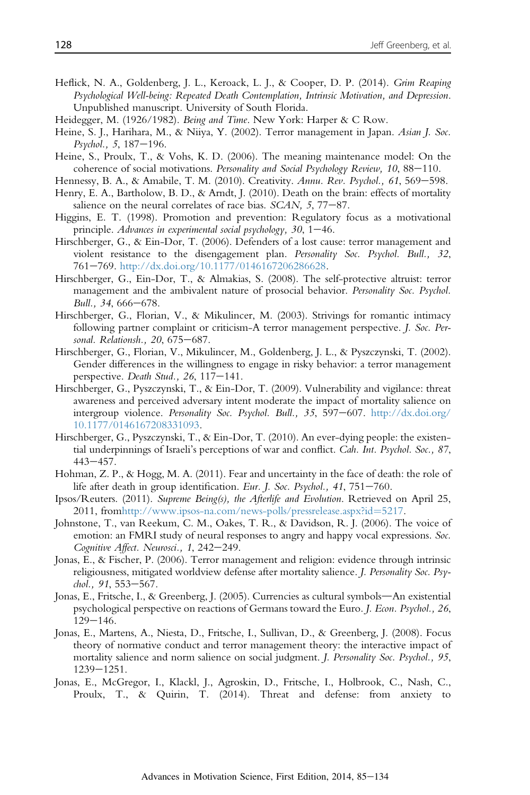- Heflick, N. A., Goldenberg, J. L., Keroack, L. J., & Cooper, D. P. (2014). Grim Reaping Psychological Well-being: Repeated Death Contemplation, Intrinsic Motivation, and Depression. Unpublished manuscript. University of South Florida.
- Heidegger, M. (1926/1982). Being and Time. New York: Harper & C Row.
- Heine, S. J., Harihara, M., & Niiya, Y. (2002). Terror management in Japan. Asian J. Soc. Psychol., 5, 187-196.
- Heine, S., Proulx, T., & Vohs, K. D. (2006). The meaning maintenance model: On the coherence of social motivations. Personality and Social Psychology Review,  $10$ ,  $88-110$ .
- Hennessy, B. A., & Amabile, T. M. (2010). Creativity. Annu. Rev. Psychol., 61, 569–598.
- Henry, E. A., Bartholow, B. D., & Arndt, J. (2010). Death on the brain: effects of mortality salience on the neural correlates of race bias.  $SCAN$ ,  $5$ ,  $77-87$ .
- Higgins, E. T. (1998). Promotion and prevention: Regulatory focus as a motivational principle. Advances in experimental social psychology,  $30$ ,  $1-46$ .
- Hirschberger, G., & Ein-Dor, T. (2006). Defenders of a lost cause: terror management and violent resistance to the disengagement plan. Personality Soc. Psychol. Bull., 32, 761-769. [http://dx.doi.org/10.1177/0146167206286628.](http://dx.doi.org/10.1177/0146167206286628)
- Hirschberger, G., Ein-Dor, T., & Almakias, S. (2008). The self-protective altruist: terror management and the ambivalent nature of prosocial behavior. Personality Soc. Psychol. Bull., 34, 666–678.
- Hirschberger, G., Florian, V., & Mikulincer, M. (2003). Strivings for romantic intimacy following partner complaint or criticism-A terror management perspective. J. Soc. Personal. Relationsh., 20, 675-687.
- Hirschberger, G., Florian, V., Mikulincer, M., Goldenberg, J. L., & Pyszczynski, T. (2002). Gender differences in the willingness to engage in risky behavior: a terror management perspective. Death Stud.,  $26$ ,  $117-141$ .
- Hirschberger, G., Pyszczynski, T., & Ein-Dor, T. (2009). Vulnerability and vigilance: threat awareness and perceived adversary intent moderate the impact of mortality salience on intergroup violence. Personality Soc. Psychol. Bull., 35, 597-607. [http://dx.doi.org/](http://dx.doi.org/10.1177/0146167208331093) [10.1177/0146167208331093.](http://dx.doi.org/10.1177/0146167208331093)
- Hirschberger, G., Pyszczynski, T., & Ein-Dor, T. (2010). An ever-dying people: the existential underpinnings of Israeli's perceptions of war and conflict. Cah. Int. Psychol. Soc., 87,  $443 - 457$ .
- Hohman, Z. P., & Hogg, M. A. (2011). Fear and uncertainty in the face of death: the role of life after death in group identification. Eur. J. Soc. Psychol.,  $41$ ,  $751-760$ .
- Ipsos/Reuters. (2011). Supreme Being(s), the Afterlife and Evolution. Retrieved on April 25, 2011, fro[mhttp://www.ipsos-na.com/news-polls/pressrelease.aspx?id](http://www.ipsos-na.com/news-polls/pressrelease.aspx?id=5217)=[5217.](http://www.ipsos-na.com/news-polls/pressrelease.aspx?id=5217)
- Johnstone, T., van Reekum, C. M., Oakes, T. R., & Davidson, R. J. (2006). The voice of emotion: an FMRI study of neural responses to angry and happy vocal expressions. Soc. Cognitive Affect. Neurosci., 1, 242–249.
- Jonas, E., & Fischer, P. (2006). Terror management and religion: evidence through intrinsic religiousness, mitigated worldview defense after mortality salience. J. Personality Soc. Psychol., 91, 553–567.
- Jonas, E., Fritsche, I., & Greenberg, J. (2005). Currencies as cultural symbols—An existential psychological perspective on reactions of Germans toward the Euro. J. Econ. Psychol., 26,  $129 - 146$ .
- Jonas, E., Martens, A., Niesta, D., Fritsche, I., Sullivan, D., & Greenberg, J. (2008). Focus theory of normative conduct and terror management theory: the interactive impact of mortality salience and norm salience on social judgment. J. Personality Soc. Psychol., 95,  $1239 - 1251.$
- Jonas, E., McGregor, I., Klackl, J., Agroskin, D., Fritsche, I., Holbrook, C., Nash, C., Proulx, T., & Quirin, T. (2014). Threat and defense: from anxiety to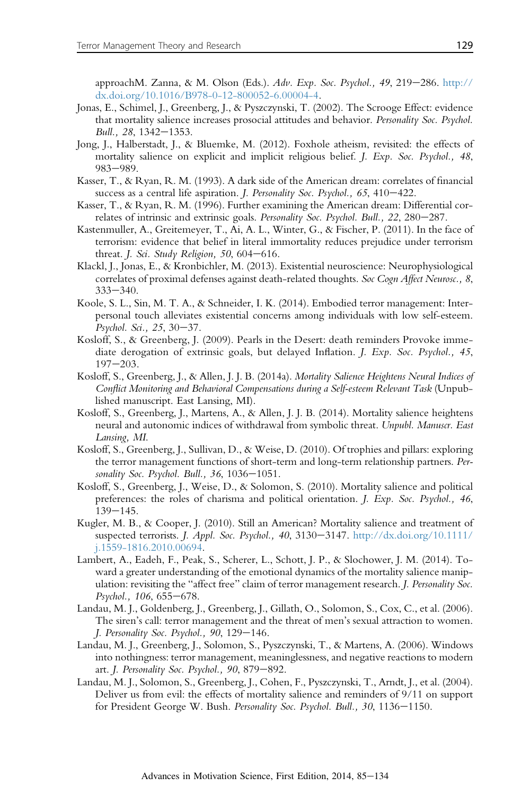approachM. Zanna, & M. Olson (Eds.).  $Adv. Exp. Soc. Psychol., 49, 219-286. http://$  $Adv. Exp. Soc. Psychol., 49, 219-286. http://$ [dx.doi.org/10.1016/B978-0-12-800052-6.00004-4.](http://dx.doi.org/10.1016/B978-0-12-800052-6.00004-4)

- Jonas, E., Schimel, J., Greenberg, J., & Pyszczynski, T. (2002). The Scrooge Effect: evidence that mortality salience increases prosocial attitudes and behavior. Personality Soc. Psychol. Bull., 28, 1342-1353.
- Jong, J., Halberstadt, J., & Bluemke, M. (2012). Foxhole atheism, revisited: the effects of mortality salience on explicit and implicit religious belief. J. Exp. Soc. Psychol., 48, 983–989.
- Kasser, T., & Ryan, R. M. (1993). A dark side of the American dream: correlates of financial success as a central life aspiration. J. Personality Soc. Psychol.,  $65$ ,  $410-422$ .
- Kasser, T., & Ryan, R. M. (1996). Further examining the American dream: Differential correlates of intrinsic and extrinsic goals. Personality Soc. Psychol. Bull., 22, 280-287.
- Kastenmuller, A., Greitemeyer, T., Ai, A. L., Winter, G., & Fischer, P. (2011). In the face of terrorism: evidence that belief in literal immortality reduces prejudice under terrorism threat. J. Sci. Study Religion,  $50, 604-616$ .
- Klackl, J., Jonas, E., & Kronbichler, M. (2013). Existential neuroscience: Neurophysiological correlates of proximal defenses against death-related thoughts. Soc Cogn Affect Neurosc., 8, 333e340.
- Koole, S. L., Sin, M. T. A., & Schneider, I. K. (2014). Embodied terror management: Interpersonal touch alleviates existential concerns among individuals with low self-esteem.  $P<sub>sychol.</sub>$  Sci., 25, 30–37.
- Kosloff, S., & Greenberg, J. (2009). Pearls in the Desert: death reminders Provoke immediate derogation of extrinsic goals, but delayed Inflation. J. Exp. Soc. Psychol., 45,  $197 - 203$ .
- Kosloff, S., Greenberg, J., & Allen, J. J. B. (2014a). Mortality Salience Heightens Neural Indices of Conflict Monitoring and Behavioral Compensations during a Self-esteem Relevant Task (Unpublished manuscript. East Lansing, MI).
- Kosloff, S., Greenberg, J., Martens, A., & Allen, J. J. B. (2014). Mortality salience heightens neural and autonomic indices of withdrawal from symbolic threat. Unpubl. Manuscr. East Lansing, MI.
- Kosloff, S., Greenberg, J., Sullivan, D., & Weise, D. (2010). Of trophies and pillars: exploring the terror management functions of short-term and long-term relationship partners. Personality Soc. Psychol. Bull.,  $36$ ,  $1036 - 1051$ .
- Kosloff, S., Greenberg, J., Weise, D., & Solomon, S. (2010). Mortality salience and political preferences: the roles of charisma and political orientation. J. Exp. Soc. Psychol., 46,  $139 - 145$ .
- Kugler, M. B., & Cooper, J. (2010). Still an American? Mortality salience and treatment of suspected terrorists. J. Appl. Soc. Psychol., 40, 3130–3147. [http://dx.doi.org/10.1111/](http://dx.doi.org/10.1111/j.1559-1816.2010.00694) [j.1559-1816.2010.00694.](http://dx.doi.org/10.1111/j.1559-1816.2010.00694)
- Lambert, A., Eadeh, F., Peak, S., Scherer, L., Schott, J. P., & Slochower, J. M. (2014). Toward a greater understanding of the emotional dynamics of the mortality salience manipulation: revisiting the "affect free" claim of terror management research. *J. Personality Soc.* Psychol., 106, 655–678.
- Landau, M. J., Goldenberg, J., Greenberg, J., Gillath, O., Solomon, S., Cox, C., et al. (2006). The siren's call: terror management and the threat of men's sexual attraction to women. J. Personality Soc. Psychol., 90, 129–146.
- Landau, M. J., Greenberg, J., Solomon, S., Pyszczynski, T., & Martens, A. (2006). Windows into nothingness: terror management, meaninglessness, and negative reactions to modern art. J. Personality Soc. Psychol., 90, 879-892.
- Landau, M. J., Solomon, S., Greenberg, J., Cohen, F., Pyszczynski, T., Arndt, J., et al. (2004). Deliver us from evil: the effects of mortality salience and reminders of 9/11 on support for President George W. Bush. Personality Soc. Psychol. Bull., 30, 1136-1150.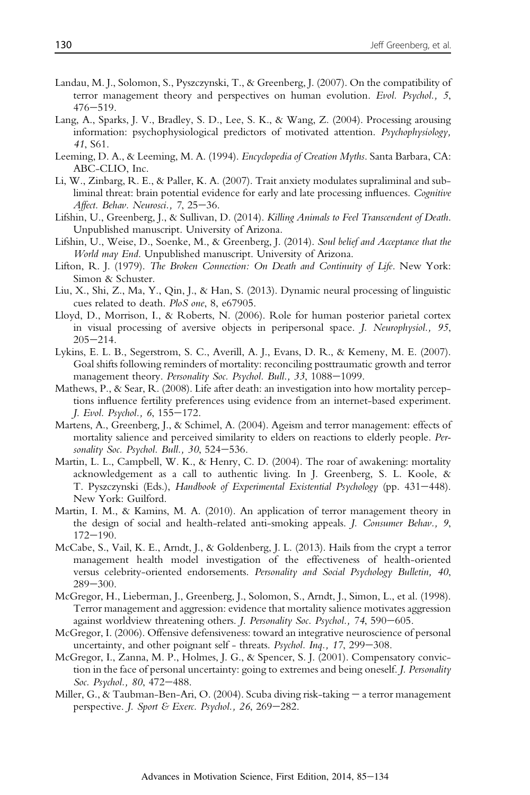- Landau, M. J., Solomon, S., Pyszczynski, T., & Greenberg, J. (2007). On the compatibility of terror management theory and perspectives on human evolution. Evol. Psychol., 5,  $476 - 519$ .
- Lang, A., Sparks, J. V., Bradley, S. D., Lee, S. K., & Wang, Z. (2004). Processing arousing information: psychophysiological predictors of motivated attention. Psychophysiology, 41, S61.
- Leeming, D. A., & Leeming, M. A. (1994). *Encyclopedia of Creation Myths*. Santa Barbara, CA: ABC-CLIO, Inc.
- Li, W., Zinbarg, R. E., & Paller, K. A. (2007). Trait anxiety modulates supraliminal and subliminal threat: brain potential evidence for early and late processing influences. Cognitive Affect. Behav. Neurosci., 7, 25-36.
- Lifshin, U., Greenberg, J., & Sullivan, D. (2014). Killing Animals to Feel Transcendent of Death. Unpublished manuscript. University of Arizona.
- Lifshin, U., Weise, D., Soenke, M., & Greenberg, J. (2014). Soul belief and Acceptance that the World may End. Unpublished manuscript. University of Arizona.
- Lifton, R. J. (1979). The Broken Connection: On Death and Continuity of Life. New York: Simon & Schuster.
- Liu, X., Shi, Z., Ma, Y., Qin, J., & Han, S. (2013). Dynamic neural processing of linguistic cues related to death. PloS one, 8, e67905.
- Lloyd, D., Morrison, I., & Roberts, N. (2006). Role for human posterior parietal cortex in visual processing of aversive objects in peripersonal space. J. Neurophysiol., 95,  $205 - 214.$
- Lykins, E. L. B., Segerstrom, S. C., Averill, A. J., Evans, D. R., & Kemeny, M. E. (2007). Goal shifts following reminders of mortality: reconciling posttraumatic growth and terror management theory. Personality Soc. Psychol. Bull., 33, 1088-1099.
- Mathews, P., & Sear, R. (2008). Life after death: an investigation into how mortality perceptions influence fertility preferences using evidence from an internet-based experiment. J. Evol. Psychol., 6, 155-172.
- Martens, A., Greenberg, J., & Schimel, A. (2004). Ageism and terror management: effects of mortality salience and perceived similarity to elders on reactions to elderly people. Personality Soc. Psychol. Bull.,  $30, 524 - 536$ .
- Martin, L. L., Campbell, W. K., & Henry, C. D. (2004). The roar of awakening: mortality acknowledgement as a call to authentic living. In J. Greenberg, S. L. Koole, & T. Pyszczynski (Eds.), Handbook of Experimental Existential Psychology (pp. 431–448). New York: Guilford.
- Martin, I. M., & Kamins, M. A. (2010). An application of terror management theory in the design of social and health-related anti-smoking appeals. J. Consumer Behav., 9,  $172 - 190.$
- McCabe, S., Vail, K. E., Arndt, J., & Goldenberg, J. L. (2013). Hails from the crypt a terror management health model investigation of the effectiveness of health-oriented versus celebrity-oriented endorsements. Personality and Social Psychology Bulletin, 40,  $289 - 300$ .
- McGregor, H., Lieberman, J., Greenberg, J., Solomon, S., Arndt, J., Simon, L., et al. (1998). Terror management and aggression: evidence that mortality salience motivates aggression against worldview threatening others. J. Personality Soc. Psychol., 74, 590-605.
- McGregor, I. (2006). Offensive defensiveness: toward an integrative neuroscience of personal uncertainty, and other poignant self - threats. Psychol. Inq., 17, 299-308.
- McGregor, I., Zanna, M. P., Holmes, J. G., & Spencer, S. J. (2001). Compensatory conviction in the face of personal uncertainty: going to extremes and being oneself. J. Personality Soc. Psychol., 80, 472-488.
- Miller, G., & Taubman-Ben-Ari, O. (2004). Scuba diving risk-taking  $-$  a terror management perspective. J. Sport & Exerc. Psychol., 26, 269-282.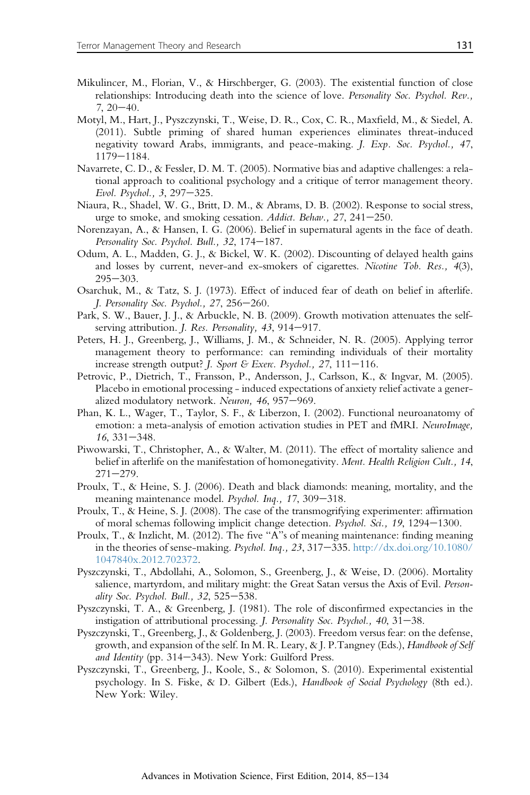- Mikulincer, M., Florian, V., & Hirschberger, G. (2003). The existential function of close relationships: Introducing death into the science of love. *Personality Soc. Psychol. Rev.*,  $7, 20 - 40.$
- Motyl, M., Hart, J., Pyszczynski, T., Weise, D. R., Cox, C. R., Maxfield, M., & Siedel, A. (2011). Subtle priming of shared human experiences eliminates threat-induced negativity toward Arabs, immigrants, and peace-making. J. Exp. Soc. Psychol., 47, 1179-1184.
- Navarrete, C. D., & Fessler, D. M. T. (2005). Normative bias and adaptive challenges: a relational approach to coalitional psychology and a critique of terror management theory. Evol. Psychol., 3, 297-325.
- Niaura, R., Shadel, W. G., Britt, D. M., & Abrams, D. B. (2002). Response to social stress, urge to smoke, and smoking cessation. Addict. Behav.,  $27$ ,  $241-250$ .
- Norenzayan, A., & Hansen, I. G. (2006). Belief in supernatural agents in the face of death. Personality Soc. Psychol. Bull., 32, 174-187.
- Odum, A. L., Madden, G. J., & Bickel, W. K. (2002). Discounting of delayed health gains and losses by current, never-and ex-smokers of cigarettes. Nicotine Tob. Res., 4(3),  $295 - 303$ .
- Osarchuk, M., & Tatz, S. J. (1973). Effect of induced fear of death on belief in afterlife. J. Personality Soc. Psychol., 27, 256–260.
- Park, S. W., Bauer, J. J., & Arbuckle, N. B. (2009). Growth motivation attenuates the selfserving attribution. J. Res. Personality, 43, 914-917.
- Peters, H. J., Greenberg, J., Williams, J. M., & Schneider, N. R. (2005). Applying terror management theory to performance: can reminding individuals of their mortality increase strength output? J. Sport & Exerc. Psychol., 27,  $111-116$ .
- Petrovic, P., Dietrich, T., Fransson, P., Andersson, J., Carlsson, K., & Ingvar, M. (2005). Placebo in emotional processing - induced expectations of anxiety relief activate a generalized modulatory network. Neuron, 46, 957-969.
- Phan, K. L., Wager, T., Taylor, S. F., & Liberzon, I. (2002). Functional neuroanatomy of emotion: a meta-analysis of emotion activation studies in PET and fMRI. NeuroImage,  $16, 331 - 348.$
- Piwowarski, T., Christopher, A., & Walter, M. (2011). The effect of mortality salience and belief in afterlife on the manifestation of homonegativity. Ment. Health Religion Cult., 14,  $271 - 279.$
- Proulx, T., & Heine, S. J. (2006). Death and black diamonds: meaning, mortality, and the meaning maintenance model. Psychol. Inq., 17, 309-318.
- Proulx, T., & Heine, S. J. (2008). The case of the transmogrifying experimenter: affirmation of moral schemas following implicit change detection. Psychol. Sci., 19, 1294-1300.
- Proulx, T., & Inzlicht, M. (2012). The five "A"s of meaning maintenance: finding meaning in the theories of sense-making. *Psychol. Inq.*,  $23$ ,  $317-335$ . [http://dx.doi.org/10.1080/](http://dx.doi.org/10.1080/1047840x.2012.702372) [1047840x.2012.702372](http://dx.doi.org/10.1080/1047840x.2012.702372).
- Pyszczynski, T., Abdollahi, A., Solomon, S., Greenberg, J., & Weise, D. (2006). Mortality salience, martyrdom, and military might: the Great Satan versus the Axis of Evil. Personality Soc. Psychol. Bull.,  $32$ ,  $525-538$ .
- Pyszczynski, T. A., & Greenberg, J. (1981). The role of disconfirmed expectancies in the instigation of attributional processing. J. Personality Soc. Psychol.,  $40$ ,  $31-38$ .
- Pyszczynski, T., Greenberg, J., & Goldenberg, J. (2003). Freedom versus fear: on the defense, growth, and expansion of the self. In M. R. Leary, & J. P.Tangney (Eds.), Handbook of Self and Identity (pp. 314-343). New York: Guilford Press.
- Pyszczynski, T., Greenberg, J., Koole, S., & Solomon, S. (2010). Experimental existential psychology. In S. Fiske, & D. Gilbert (Eds.), Handbook of Social Psychology (8th ed.). New York: Wiley.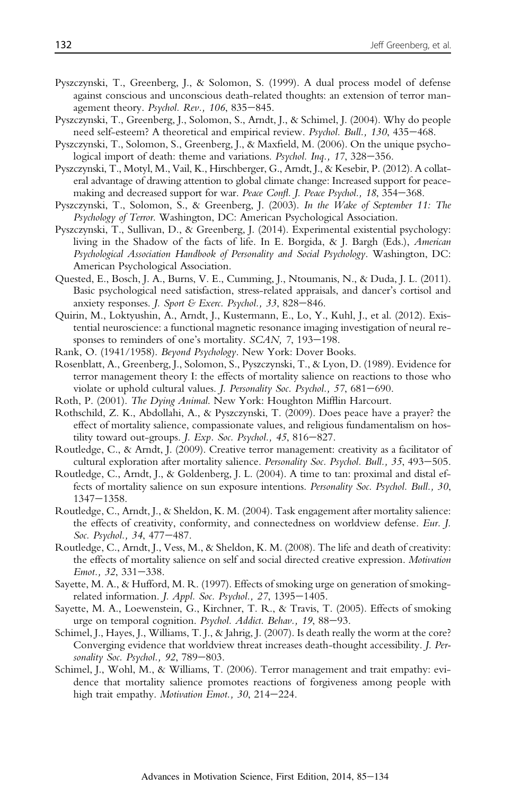- Pyszczynski, T., Greenberg, J., & Solomon, S. (1999). A dual process model of defense against conscious and unconscious death-related thoughts: an extension of terror management theory. Psychol. Rev., 106, 835-845.
- Pyszczynski, T., Greenberg, J., Solomon, S., Arndt, J., & Schimel, J. (2004). Why do people need self-esteem? A theoretical and empirical review. Psychol. Bull., 130, 435-468.
- Pyszczynski, T., Solomon, S., Greenberg, J., & Maxfield, M. (2006). On the unique psychological import of death: theme and variations. Psychol. Inq., 17, 328-356.
- Pyszczynski, T., Motyl, M., Vail, K., Hirschberger, G., Arndt, J., & Kesebir, P. (2012). A collateral advantage of drawing attention to global climate change: Increased support for peacemaking and decreased support for war. Peace Confl. J. Peace Psychol., 18, 354-368.
- Pyszczynski, T., Solomon, S., & Greenberg, J. (2003). In the Wake of September 11: The Psychology of Terror. Washington, DC: American Psychological Association.
- Pyszczynski, T., Sullivan, D., & Greenberg, J. (2014). Experimental existential psychology: living in the Shadow of the facts of life. In E. Borgida, & J. Bargh (Eds.), American Psychological Association Handbook of Personality and Social Psychology. Washington, DC: American Psychological Association.
- Quested, E., Bosch, J. A., Burns, V. E., Cumming, J., Ntoumanis, N., & Duda, J. L. (2011). Basic psychological need satisfaction, stress-related appraisals, and dancer's cortisol and anxiety responses. J. Sport & Exerc. Psychol., 33, 828-846.
- Quirin, M., Loktyushin, A., Arndt, J., Kustermann, E., Lo, Y., Kuhl, J., et al. (2012). Existential neuroscience: a functional magnetic resonance imaging investigation of neural responses to reminders of one's mortality. SCAN, 7, 193-198.
- Rank, O. (1941/1958). Beyond Psychology. New York: Dover Books.
- Rosenblatt, A., Greenberg, J., Solomon, S., Pyszczynski, T., & Lyon, D. (1989). Evidence for terror management theory I: the effects of mortality salience on reactions to those who violate or uphold cultural values. *J. Personality Soc. Psychol.*, 57, 681–690.
- Roth, P. (2001). The Dying Animal. New York: Houghton Mifflin Harcourt.
- Rothschild, Z. K., Abdollahi, A., & Pyszczynski, T. (2009). Does peace have a prayer? the effect of mortality salience, compassionate values, and religious fundamentalism on hostility toward out-groups. J. Exp. Soc. Psychol., 45, 816-827.
- Routledge, C., & Arndt, J. (2009). Creative terror management: creativity as a facilitator of cultural exploration after mortality salience. Personality Soc. Psychol. Bull., 35, 493–505.
- Routledge, C., Arndt, J., & Goldenberg, J. L. (2004). A time to tan: proximal and distal effects of mortality salience on sun exposure intentions. Personality Soc. Psychol. Bull., 30, 1347-1358.
- Routledge, C., Arndt, J., & Sheldon, K. M. (2004). Task engagement after mortality salience: the effects of creativity, conformity, and connectedness on worldview defense. Eur. J. Soc. Psychol., 34, 477-487.
- Routledge, C., Arndt, J., Vess, M., & Sheldon, K. M. (2008). The life and death of creativity: the effects of mortality salience on self and social directed creative expression. Motivation Emot., 32, 331-338.
- Sayette, M. A., & Hufford, M. R. (1997). Effects of smoking urge on generation of smokingrelated information. J. Appl. Soc. Psychol., 27, 1395-1405.
- Sayette, M. A., Loewenstein, G., Kirchner, T. R., & Travis, T. (2005). Effects of smoking urge on temporal cognition. Psychol. Addict. Behav., 19, 88-93.
- Schimel, J., Hayes, J., Williams, T. J., & Jahrig, J. (2007). Is death really the worm at the core? Converging evidence that worldview threat increases death-thought accessibility. J. Personality Soc. Psychol., 92, 789-803.
- Schimel, J., Wohl, M., & Williams, T. (2006). Terror management and trait empathy: evidence that mortality salience promotes reactions of forgiveness among people with high trait empathy. *Motivation Emot.*,  $30$ ,  $214-224$ .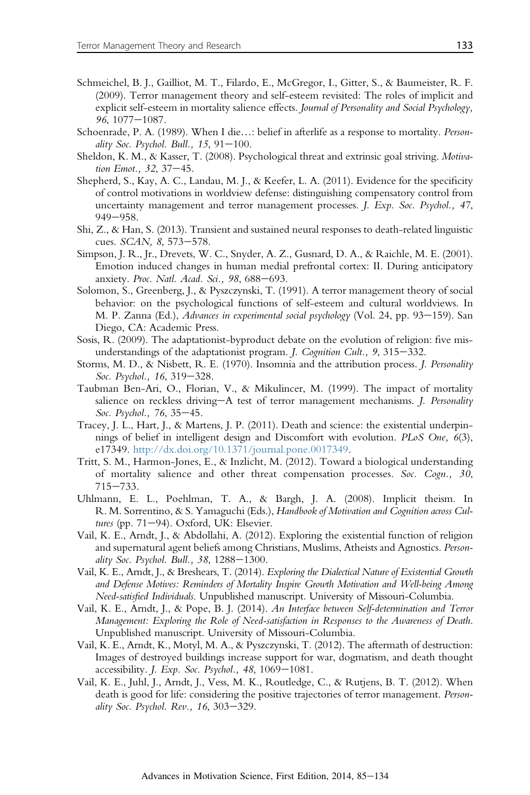- Schmeichel, B. J., Gailliot, M. T., Filardo, E., McGregor, I., Gitter, S., & Baumeister, R. F. (2009). Terror management theory and self-esteem revisited: The roles of implicit and explicit self-esteem in mortality salience effects. Journal of Personality and Social Psychology,  $96, 1077 - 1087.$
- Schoenrade, P. A. (1989). When I die...: belief in afterlife as a response to mortality. Personality Soc. Psychol. Bull.,  $15, 91-100$ .
- Sheldon, K. M., & Kasser, T. (2008). Psychological threat and extrinsic goal striving. Motivation Emot., 32, 37-45.
- Shepherd, S., Kay, A. C., Landau, M. J., & Keefer, L. A. (2011). Evidence for the specificity of control motivations in worldview defense: distinguishing compensatory control from uncertainty management and terror management processes. J. Exp. Soc. Psychol., 47, 949-958.
- Shi, Z., & Han, S. (2013). Transient and sustained neural responses to death-related linguistic cues. SCAN, 8, 573–578.
- Simpson, J. R., Jr., Drevets, W. C., Snyder, A. Z., Gusnard, D. A., & Raichle, M. E. (2001). Emotion induced changes in human medial prefrontal cortex: II. During anticipatory anxiety. Proc. Natl. Acad. Sci., 98, 688-693.
- Solomon, S., Greenberg, J., & Pyszczynski, T. (1991). A terror management theory of social behavior: on the psychological functions of self-esteem and cultural worldviews. In M. P. Zanna (Ed.), Advances in experimental social psychology (Vol. 24, pp. 93–159). San Diego, CA: Academic Press.
- Sosis, R. (2009). The adaptationist-byproduct debate on the evolution of religion: five misunderstandings of the adaptationist program. J. Cognition Cult., 9, 315–332.
- Storms, M. D., & Nisbett, R. E. (1970). Insomnia and the attribution process. J. Personality Soc. Psychol., 16, 319–328.
- Taubman Ben-Ari, O., Florian, V., & Mikulincer, M. (1999). The impact of mortality salience on reckless driving-A test of terror management mechanisms. J. Personality Soc. Psychol., 76, 35-45.
- Tracey, J. L., Hart, J., & Martens, J. P. (2011). Death and science: the existential underpinnings of belief in intelligent design and Discomfort with evolution. PLoS One, 6(3), e17349. <http://dx.doi.org/10.1371/journal.pone.0017349>.
- Tritt, S. M., Harmon-Jones, E., & Inzlicht, M. (2012). Toward a biological understanding of mortality salience and other threat compensation processes. Soc. Cogn., 30,  $715 - 733.$
- Uhlmann, E. L., Poehlman, T. A., & Bargh, J. A. (2008). Implicit theism. In R. M. Sorrentino, & S. Yamaguchi (Eds.), Handbook of Motivation and Cognition across Cultures (pp.  $71-94$ ). Oxford, UK: Elsevier.
- Vail, K. E., Arndt, J., & Abdollahi, A. (2012). Exploring the existential function of religion and supernatural agent beliefs among Christians, Muslims, Atheists and Agnostics. Personality Soc. Psychol. Bull., 38, 1288-1300.
- Vail, K. E., Arndt, J., & Breshears, T. (2014). Exploring the Dialectical Nature of Existential Growth and Defense Motives: Reminders of Mortality Inspire Growth Motivation and Well-being Among Need-satisfied Individuals. Unpublished manuscript. University of Missouri-Columbia.
- Vail, K. E., Arndt, J., & Pope, B. J. (2014). An Interface between Self-determination and Terror Management: Exploring the Role of Need-satisfaction in Responses to the Awareness of Death. Unpublished manuscript. University of Missouri-Columbia.
- Vail, K. E., Arndt, K., Motyl, M. A., & Pyszczynski, T. (2012). The aftermath of destruction: Images of destroyed buildings increase support for war, dogmatism, and death thought accessibility. *J. Exp. Soc. Psychol.*,  $48$ ,  $1069-1081$ .
- Vail, K. E., Juhl, J., Arndt, J., Vess, M. K., Routledge, C., & Rutjens, B. T. (2012). When death is good for life: considering the positive trajectories of terror management. Personality Soc. Psychol. Rev.,  $16$ ,  $303-329$ .